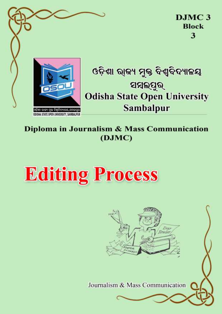

DJMC<sub>3</sub> **Block** 3

ଓଡ଼ିଶା ରାଜ୍ୟ ମୃକ୍ତ ବିଶ୍ୱବିଦ୍ୟାଳୟ ସମ୍ଲପୁର୍ **Odisha State Open University** Sambalpur

Diploma in Journalism & Mass Communication (DJMC)





Journalism & Mass Communication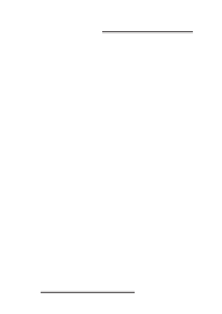<u> 1989 - Johann Harry Harry Harry Harry Harry Harry Harry Harry Harry Harry Harry Harry Harry Harry Harry Harry</u>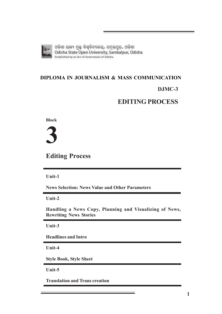

ଓଡ଼ିଶା ରାଜ୍ୟ ମୁକ୍ତ ବିଶ୍ୱବିଦ୍ୟାଳୟ, ସମ୍ବଲପୁର, ଓଡ଼ିଶା Odisha State Open University, Sambalpur, Odisha Established by an Act of Government of Odisha.

#### **DIPLOMA IN JOURNALISM & MASS COMMUNICATION**

#### **DJMC-3**

### **EDITING PROCESS**

**Block**



### **Editing Process**

**Unit-1**

**News Selection: News Value and Other Parameters**

**Unit-2**

**Handling a News Copy, Planning and Visualizing of News, Rewriting News Stories**

**Unit-3**

**Headlines and Intro**

**Unit-4**

**Style Book, Style Sheet**

**Unit-5**

**Translation and Trans creation**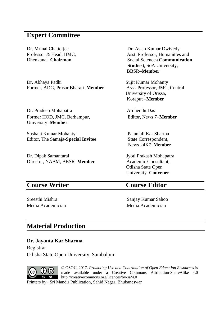### **Expert Committee**

Dr. Abhaya Padhi Sujit Kumar Mohanty Former, ADG, Prasar Bharati–**Member Asst. Professor, JMC, Central** 

Dr. Pradeep Mohapatra Ardhendu Das Former HOD, JMC, Berhampur, Editor, News 7–**Member** University–**Member**

Sushant Kumar Mohanty Patanjali Kar Sharma Editor, The Samaja-Special Invitee State Correspondent,

Dr. Dipak Samantarai Jyoti Prakash Mohapatra Director, NABM, BBSR-Member<br>
Academic Consultant,

Dr. Mrinal ChatterjeeDr. Asish Kumar Dwivedy Professor & Head, IIMC, **Asst. Professor, Humanities and** Dhenkanal–**Chairman** Social Science-(**Communication Studies**), SoA University, BBSR–**Member**

> University of Orissa, Koraput –**Member**

News 24X7–**Member**

 Odisha State Open University–**Convener** 

### **Course Writer Course Editor**

Media Academician **Media Academician** Media Academician

Sreesthi Mishra Sanjay Kumar Sahoo

### **Material Production**

**Dr. Jayanta Kar Sharma** 

Registrar Odisha State Open University, Sambalpur



© OSOU, 2017. *Promoting Use and Contribution of Open Education Resources* is made available under a Creative Commons Attribution-ShareAlike 4.0 sa http://creativecommons.org/licences/by-sa/4.0

Printers by : Sri Mandir Publication, Sahid Nagar, Bhubaneswar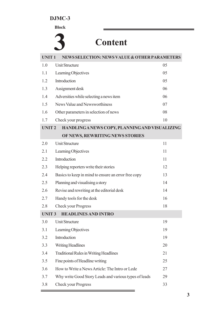### **DJMC-3**

**Block**

# **3 Content**

| <b>UNIT1</b>                                | NEWS SELECTION: NEWS VALUE & OTHER PARAMETERS         |    |  |  |
|---------------------------------------------|-------------------------------------------------------|----|--|--|
| 1.0                                         | <b>Unit Structure</b>                                 | 05 |  |  |
| 1.1                                         | Learning Objectives                                   | 05 |  |  |
| 1.2                                         | Introduction                                          | 05 |  |  |
| 1.3                                         | Assignment desk                                       | 06 |  |  |
| 1.4                                         | Adversities while selecting a news item               | 06 |  |  |
| 1.5                                         | News Value and Newsworthiness                         | 07 |  |  |
| 1.6                                         | Other parameters in selection of news                 | 08 |  |  |
| 1.7                                         | Check your progress                                   | 10 |  |  |
| <b>UNIT2</b>                                | HANDLING A NEWS COPY, PLANNING AND VISUALIZING        |    |  |  |
|                                             | OF NEWS, REWRITING NEWS STORIES                       |    |  |  |
| 2.0                                         | <b>Unit Structure</b>                                 | 11 |  |  |
| 2.1                                         | Learning Objectives                                   | 11 |  |  |
| 2.2                                         | Introduction                                          | 11 |  |  |
| 2.3                                         | Helping reporters write their stories                 | 12 |  |  |
| 2.4                                         | Basics to keep in mind to ensure an error free copy   | 13 |  |  |
| 2.5                                         | Planning and visualising a story                      | 14 |  |  |
| 2.6                                         | Revise and rewriting at the editorial desk            | 14 |  |  |
| 2.7                                         | Handy tools for the desk                              | 16 |  |  |
| 2.8                                         | <b>Check your Progress</b>                            | 18 |  |  |
| <b>HEADLINES AND INTRO</b><br><b>UNIT 3</b> |                                                       |    |  |  |
| 3.0                                         | <b>Unit Structure</b>                                 | 19 |  |  |
| 3.1                                         | Learning Objectives                                   | 19 |  |  |
| 3.2                                         | Introduction                                          | 19 |  |  |
| 3.3                                         | Writing Headlines                                     | 20 |  |  |
| 3.4                                         | <b>Traditional Rules in Writing Headlines</b>         | 21 |  |  |
| 3.5                                         | Fine points of Headline writing                       | 25 |  |  |
| 3.6                                         | How to Write a News Article: The Intro or Lede        | 27 |  |  |
| 3.7                                         | Why write Good Story Leads and various types of leads | 29 |  |  |
| 3.8                                         | <b>Check your Progress</b>                            | 33 |  |  |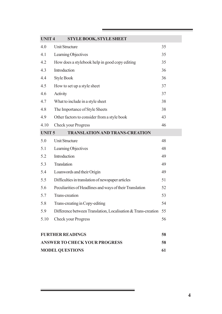| <b>UNIT4</b>                         | <b>STYLE BOOK, STYLE SHEET</b>                                |    |
|--------------------------------------|---------------------------------------------------------------|----|
| 4.0                                  | <b>Unit Structure</b>                                         | 35 |
| 4.1                                  | Learning Objectives                                           | 35 |
| 4.2                                  | How does a stylebook help in good copy editing                | 35 |
| 4.3                                  | Introduction                                                  | 36 |
| 4.4                                  | <b>Style Book</b>                                             | 36 |
| 4.5                                  | How to set up a style sheet                                   | 37 |
| 4.6                                  | Activity                                                      | 37 |
| 4.7                                  | What to include in a style sheet                              | 38 |
| 4.8                                  | The Importance of Style Sheets                                | 38 |
| 4.9                                  | Other factors to consider from a style book                   | 43 |
| 4.10                                 | <b>Check your Progress</b>                                    | 46 |
| <b>UNIT5</b>                         | <b>TRANSLATION AND TRANS-CREATION</b>                         |    |
| 5.0                                  | Unit Structure                                                | 48 |
| 5.1                                  | Learning Objectives                                           | 48 |
| 5.2                                  | Introduction                                                  | 49 |
| 5.3                                  | Translation                                                   | 49 |
| 5.4                                  | Loanwords and their Origin                                    | 49 |
| 5.5                                  | Difficulties in translation of newspaper articles             | 51 |
| 5.6                                  | Peculiarities of Headlines and ways of their Translation      | 52 |
| 5.7                                  | Trans-creation                                                | 53 |
| 5.8                                  | Trans-creating in Copy-editing                                | 54 |
| 5.9                                  | Difference between Translation, Localisation & Trans-creation | 55 |
| 5.10                                 | <b>Check your Progress</b>                                    | 56 |
| <b>FURTHER READINGS</b>              | 58                                                            |    |
| <b>ANSWER TO CHECK YOUR PROGRESS</b> |                                                               | 58 |
| <b>MODEL QUESTIONS</b>               |                                                               | 61 |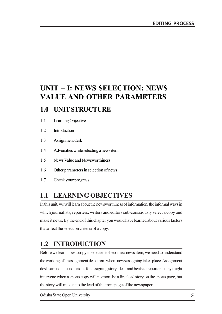# **UNIT – I: NEWS SELECTION: NEWS VALUE AND OTHER PARAMETERS**

### **1.0 UNIT STRUCTURE**

- 1.1 Learning Objectives
- 1.2 Introduction
- 1.3 Assignment desk
- 1.4 Adversities while selecting a news item
- 1.5 News Value and Newsworthiness
- 1.6 Other parameters in selection of news
- 1.7 Check your progress

### **1.1 LEARNING OBJECTIVES**

In this unit, we will learn about the newsworthiness of information, the informal ways in which journalists, reporters, writers and editors sub-consciously select a copy and make it news. By the end of this chapter you would have learned about various factors that affect the selection criteria of a copy.

# **1.2 INTRODUCTION**

Before we learn how a copy is selected to become a news item, we need to understand the working of an assignment desk from where news assigning takes place. Assignment desks are not just notorious for assigning story ideas and beats to reporters; they might intervene when a sports copy will no more be a first lead story on the sports page, but the story will make it to the lead of the front page of the newspaper.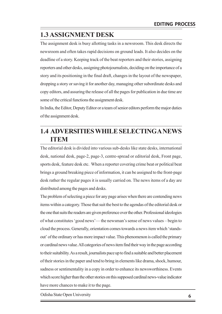# **1.3 ASSIGNMENT DESK**

The assignment desk is busy allotting tasks in a newsroom. This desk directs the newsroom and often takes rapid decisions on ground leads. It also decides on the deadline of a story. Keeping track of the beat reporters and their stories, assigning reporters and other desks, assigning photojournalists, deciding on the importance of a story and its positioning in the final draft, changes in the layout of the newspaper, dropping a story or saving it for another day, managing other subordinate desks and copy editors, and assuring the release of all the pages for publication in due time are some of the critical functions the assignment desk.

In India, the Editor, Deputy Editor or a team of senior editors perform the major duties of the assignment desk.

### **1.4 ADVERSITIES WHILE SELECTING A NEWS ITEM**

The editorial desk is divided into various sub-desks like state desks, international desk, national desk, page-2, page-3, centre-spread or editorial desk, Front page, sports desk, feature desk etc. When a reporter covering crime beat or political beat brings a ground breaking piece of information, it can be assigned to the front-page desk rather the regular pages it is usually carried on. The news items of a day are distributed among the pages and desks.

The problem of selecting a piece for any page arises when there are contending news items within a category. Those that suit the best to the agendas of the editorial desk or the one that suits the readers are given preference over the other. Professional ideologies of what constitutes 'good news'— the newsman's sense of news values – begin to cloud the process. Generally, orientation comes towards a news item which 'standsout' of the ordinary or has more impact value. This phenomenon is called the primary or cardinal news value. All categories of news item find their way in the page according to their suitability. As a result, journalists pace up to find a suitable and better placement of their stories in the paper and tend to bring in elements like drama, shock, humour, sadness or sentimentality in a copy in order to enhance its newsworthiness. Events which score higher than the other stories on this supposed cardinal news-value indicator have more chances to make it to the page.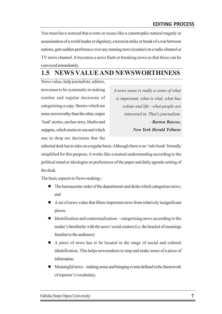You must have noticed that events or issues like a catastrophic natural tragedy or assassination of a world leader or dignitary, a terrorist strike or break of a war between nations, gets sudden preference over any running news (routine) on a radio channel or TV news channel. It becomes a news flash or breaking news so that these can be conveyed immediately.

# **1.5 NEWS VALUE AND NEWSWORTHINESS**

News value, help journalists, editors, newsmen to be systematic in making routine and regular decisions of categorising a copy. Stories which are more newsworthy than the other, major 'lead' stories, anchor story, blurbs and snippets, which stories to run and which one to drop are decisions that the

*A news sense is really a sense of what is important, what is vital, what has colour and life - what people are interested in. That's journalism. - Burton Rascoe, New York Herald Tribune*

editorial desk has to take on a regular basis. Although there is no 'rule-book' formally simplified for this purpose, it works like a mutual understanding according to the political stand or ideologies or preferences of the paper and daily agenda-setting of the desk.

The basic aspects in News-making:-

- The bureaucratic order of the departments and desks which categorises news, and
- l A set of news-value that filters important news from relatively insignificant pieces.
- $\bullet$  Identification and contextualisation categorising news according to the reader's familiarity with the news' social context (i.e. the bracket of meanings familiar to the audience)
- l A piece of news has to be located in the range of social and cultural identification. This helps newsmakers to map and make sense of a piece of information.
- l Meaningful news making sense and bringing events defined in the framework of reporter's vocabulary.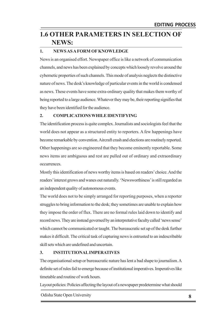# **1.6 OTHER PARAMETERS IN SELECTION OF NEWS:**

#### **1. NEWS AS A FORM OF KNOWLEDGE**

News is an organised effort. Newspaper office is like a network of communication channels, and news has been explained by concepts which loosely revolve around the cybernetic properties of such channels. This mode of analysis neglects the distinctive nature of news. The desk's knowledge of particular events in the world is condensed as news. These events have some extra-ordinary quality that makes them worthy of being reported to a large audience. Whatever they may be, their reporting signifies that they have been identified for the audience.

#### **2. COMPLICATIONS WHILE IDENTIFYING**

The identification process is quite complex. Journalists and sociologists feel that the world does not appear as a structured entity to reporters. A few happenings have become remarkable by convention. Aircraft crash and elections are routinely reported. Other happenings are so engineered that they become eminently reportable. Some news items are ambiguous and rest are pulled out of ordinary and extraordinary occurrences.

Mostly this identification of news worthy items is based on readers' choice. And the readers' interest grows and wanes out naturally. 'Newsworthiness' is still regarded as an independent quality of autonomous events.

The world does not to be simply arranged for reporting purposes, when a reporter struggles to bring information to the desk; they sometimes are unable to explain how they impose the order of flux. There are no formal rules laid down to identify and record news. They are instead governed by an interpretative faculty called 'news sense' which cannot be communicated or taught. The bureaucratic set up of the desk further makes it difficult. The critical task of capturing news is entrusted to an indescribable skill sets which are undefined and uncertain.

#### **3. INSTITUTIONAL IMPERATIVES**

The organisational setup or bureaucratic nature has lent a bad shape to journalism. A definite set of rules fail to emerge because of institutional imperatives. Imperatives like timetable and routine of work hours.

Layout policies: Policies affecting the layout of a newspaper predetermine what should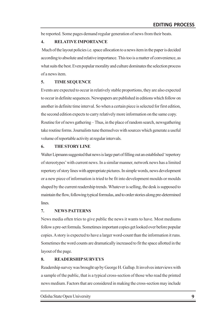be reported. Some pages demand regular generation of news from their beats.

#### **4. RELATIVE IMPORTANCE**

 Much of the layout policies i.e. space allocation to a news item in the paper is decided according to absolute and relative importance. This too is a matter of convenience, as what suits the best. Even popular morality and culture dominates the selection process of a news item.

#### **5. TIME SEQUENCE**

Events are expected to occur in relatively stable proportions, they are also expected to occur in definite sequences. Newspapers are published in editions which follow on another in definite time interval. So when a certain piece is selected for first edition, the second edition expects to carry relatively more information on the same copy. Routine for of news gathering – Thus, in the place of random search, newsgathering take routine forms. Journalists tune themselves with sources which generate a useful volume of reportable activity at regular intervals.

#### **6. THE STORY LINE**

Walter Lipmann suggested that news is large part of filling out an established 'repertory of stereotypes' with current news. In a similar manner, network news has a limited repertory of story lines with appropriate pictures. In simple words, news development or a new piece of information is tried to be fit into development moulds or moulds shaped by the current readership trends. Whatever is selling, the desk is supposed to maintain the flow, following typical formulas, and to order stories along pre-determined **lines** 

#### **7. NEWS PATTERNS**

News media often tries to give public the news it wants to have. Most mediums follow a pre-set formula. Sometimes important copies get looked over before popular copies. A story is expected to have a larger word-count than the information it runs. Sometimes the word counts are dramatically increased to fit the space allotted in the layout of the page.

#### **8. READERSHIP SURVEYS**

Readership survey was brought up by George H. Gallup. It involves interviews with a sample of the public, that is a typical cross-section of those who read the printed news medium. Factors that are considered in making the cross-section may include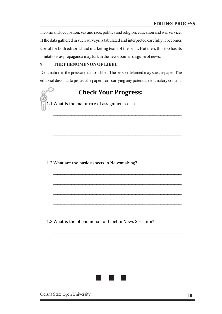income and occupation, sex and race, politics and religion, education and war service. If the data gathered in such surveys is tabulated and interpreted carefully it becomes useful for both editorial and marketing team of the print. But then, this too has its limitations as propaganda may lurk in the newsroom in disguise of news.

#### **9. THE PHENOMENON OF LIBEL**

Co.

Defamation in the press and radio is libel. The person defamed may sue the paper. The editorial desk has to protect the paper from carrying any potential defamatory content.

### **Check Your Progress:**

\_\_\_\_\_\_\_\_\_\_\_\_\_\_\_\_\_\_\_\_\_\_\_\_\_\_\_\_\_\_\_\_\_\_\_\_\_\_\_\_\_\_\_\_\_\_\_\_\_\_\_\_\_\_\_\_\_\_\_\_\_\_\_\_\_\_\_\_\_\_\_\_\_\_\_\_\_\_\_\_\_\_\_\_\_\_\_\_\_\_\_\_

\_\_\_\_\_\_\_\_\_\_\_\_\_\_\_\_\_\_\_\_\_\_\_\_\_\_\_\_\_\_\_\_\_\_\_\_\_\_\_\_\_\_\_\_\_\_\_\_\_\_\_\_\_\_\_\_\_\_\_\_\_\_\_\_\_\_\_\_\_\_\_\_\_\_\_\_\_\_\_\_\_\_\_\_\_\_\_\_\_\_\_\_

\_\_\_\_\_\_\_\_\_\_\_\_\_\_\_\_\_\_\_\_\_\_\_\_\_\_\_\_\_\_\_\_\_\_\_\_\_\_\_\_\_\_\_\_\_\_\_\_\_\_\_\_\_\_\_\_\_\_\_\_\_\_\_\_\_\_\_\_\_\_\_\_\_\_\_\_\_\_\_\_\_\_\_\_\_\_\_\_\_\_\_\_

\_\_\_\_\_\_\_\_\_\_\_\_\_\_\_\_\_\_\_\_\_\_\_\_\_\_\_\_\_\_\_\_\_\_\_\_\_\_\_\_\_\_\_\_\_\_\_\_\_\_\_\_\_\_\_\_\_\_\_\_\_\_\_\_\_\_\_\_\_\_\_\_\_\_\_\_\_\_\_\_\_\_\_\_\_\_\_\_\_\_\_\_

\_\_\_\_\_\_\_\_\_\_\_\_\_\_\_\_\_\_\_\_\_\_\_\_\_\_\_\_\_\_\_\_\_\_\_\_\_\_\_\_\_\_\_\_\_\_\_\_\_\_\_\_\_\_\_\_\_\_\_\_\_\_\_\_\_\_\_\_\_\_\_\_\_\_\_\_\_\_\_\_\_\_\_\_\_\_\_\_\_\_\_\_

\_\_\_\_\_\_\_\_\_\_\_\_\_\_\_\_\_\_\_\_\_\_\_\_\_\_\_\_\_\_\_\_\_\_\_\_\_\_\_\_\_\_\_\_\_\_\_\_\_\_\_\_\_\_\_\_\_\_\_\_\_\_\_\_\_\_\_\_\_\_\_\_\_\_\_\_\_\_\_\_\_\_\_\_\_\_\_\_\_\_\_\_

\_\_\_\_\_\_\_\_\_\_\_\_\_\_\_\_\_\_\_\_\_\_\_\_\_\_\_\_\_\_\_\_\_\_\_\_\_\_\_\_\_\_\_\_\_\_\_\_\_\_\_\_\_\_\_\_\_\_\_\_\_\_\_\_\_\_\_\_\_\_\_\_\_\_\_\_\_\_\_\_\_\_\_\_\_\_\_\_\_\_\_\_

\_\_\_\_\_\_\_\_\_\_\_\_\_\_\_\_\_\_\_\_\_\_\_\_\_\_\_\_\_\_\_\_\_\_\_\_\_\_\_\_\_\_\_\_\_\_\_\_\_\_\_\_\_\_\_\_\_\_\_\_\_\_\_\_\_\_\_\_\_\_\_\_\_\_\_\_\_\_\_\_\_\_\_\_\_\_\_\_\_\_\_\_

\_\_\_\_\_\_\_\_\_\_\_\_\_\_\_\_\_\_\_\_\_\_\_\_\_\_\_\_\_\_\_\_\_\_\_\_\_\_\_\_\_\_\_\_\_\_\_\_\_\_\_\_\_\_\_\_\_\_\_\_\_\_\_\_\_\_\_\_\_\_\_\_\_\_\_\_\_\_\_\_\_\_\_\_\_\_\_\_\_\_\_\_

\_\_\_\_\_\_\_\_\_\_\_\_\_\_\_\_\_\_\_\_\_\_\_\_\_\_\_\_\_\_\_\_\_\_\_\_\_\_\_\_\_\_\_\_\_\_\_\_\_\_\_\_\_\_\_\_\_\_\_\_\_\_\_\_\_\_\_\_\_\_\_\_\_\_\_\_\_\_\_\_\_\_\_\_\_\_\_\_\_\_\_\_

\_\_\_\_\_\_\_\_\_\_\_\_\_\_\_\_\_\_\_\_\_\_\_\_\_\_\_\_\_\_\_\_\_\_\_\_\_\_\_\_\_\_\_\_\_\_\_\_\_\_\_\_\_\_\_\_\_\_\_\_\_\_\_\_\_\_\_\_\_\_\_\_\_\_\_\_\_\_\_\_\_\_\_\_\_\_\_\_\_\_\_\_

\_\_\_\_\_\_\_\_\_\_\_\_\_\_\_\_\_\_\_\_\_\_\_\_\_\_\_\_\_\_\_\_\_\_\_\_\_\_\_\_\_\_\_\_\_\_\_\_\_\_\_\_\_\_\_\_\_\_\_\_\_\_\_\_\_\_\_\_\_\_\_\_\_\_\_\_\_\_\_\_\_\_\_\_\_\_\_\_\_\_\_\_

1.1 What is the major role of assignment desk?

1.2 What are the basic aspects in Newsmaking?

1.3 What is the phenomenon of Libel in News Selection?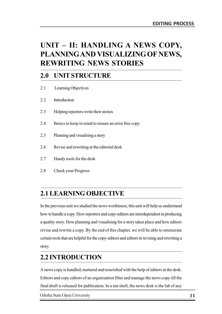# **UNIT – II: HANDLING A NEWS COPY, PLANNINGAND VISUALIZING OF NEWS, REWRITING NEWS STORIES**

### **2.0 UNIT STRUCTURE**

- 2.1 Learning Objectives
- 2.2 Introduction
- 2.3 Helping reporters write their stories
- 2.4 Basics to keep in mind to ensure an error free copy
- 2.5 Planning and visualising a story
- 2.6 Revise and rewriting at the editorial desk
- 2.7 Handy tools for the desk
- 2.8 Check your Progress

### **2.1 LEARNING OBJECTIVE**

In the previous unit we studied the news worthiness; this unit will help us understand how to handle a copy. How reporters and copy-editors are interdependent in producing a quality story. How planning and visualising for a story takes place and how editors revise and rewrite a copy. By the end of this chapter, we will be able to enumerate certain tools that are helpful for the copy-editors and editors in revising and rewriting a story.

### **2.2 INTRODUCTION**

A news copy is handled, nurtured and nourished with the help of editors at the desk. Editors and copy editors of an organisation filter and manage the news copy till the final draft is released for publication. In a nut shell, the news desk is the lab of any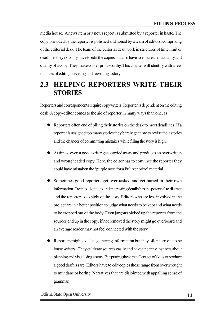media house. A news item or a news report is submitted by a reporter in haste. The copy provided by the reporter is polished and honed by a team of editors, comprising of the editorial desk. The team of the editorial desk work in strictures of time limit or deadline, they not only have to edit the copies but also have to ensure the factuality and quality of a copy. They make copies print-worthy. This chapter will identify with a few nuances of editing, revising and rewriting a story.

# **2.3 HELPING REPORTERS WRITE THEIR STORIES**

Reporters and correspondents require copywriters. Reporter is dependent on the editing desk. A copy-editor comes to the aid of reporter in many ways than one, as

- l Reporters often end of piling their stories on the desk to meet deadlines. If a reporter is assigned too many stories they barely get time to revise their stories and the chances of committing mistakes while filing the story is high.
- At times, even a good writer gets carried away and produces an overwritten and wrongheaded copy. Here, the editor has to convince the reporter they could have mistaken the 'purple nose for a Pulitzer prize' material.
- Sometimes good reporters get over-tasked and get buried in their own information. Over load of facts and interesting details has the potential to distract and the reporter loses sight of the story. Editors who are less involved in the project are in a better position to judge what needs to be kept and what needs to be cropped out of the body. Even jargons picked up the reporter from the sources end up in the copy, if not removed the story might go overboard and an average reader may not feel connected with the story.
- l Reporters might excel at gathering information but they often turn out to be lousy writers. They cultivate sources easily and have uncanny instincts about planning and visualising a story. But putting these excellent set of skills to produce a good draft is rare. Editors have to edit copies those range from overwrought to mundane or boring. Narratives that are disjointed with appalling sense of grammar.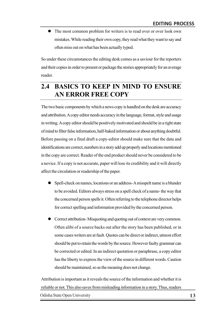• The most common problem for writers is to read over or over look own mistakes. While reading their own copy, they read what they want to say and often miss out on what has been actually typed.

So under these circumstances the editing desk comes as a saviour for the reporters and their copies in order to present or package the stories appropriately for an average reader.

# **2.4 BASICS TO KEEP IN MIND TO ENSURE AN ERROR FREE COPY**

The two basic components by which a news copy is handled on the desk are accuracy and attribution. A copy editor needs accuracy in the language, format, style and usage in writing. A copy editor should be positively motivated and should be in a right state of mind to filter false information, half-baked information or about anything doubtful. Before passing on a final draft a copy-editor should make sure that the data and identifications are correct, numbers in a story add up properly and locations mentioned in the copy are correct. Reader of the end product should never be considered to be a novice. If a copy is not accurate, paper will lose its credibility and it will directly affect the circulation or readership of the paper.

- l Spell-check on names, locations or an address- A misspelt name is a blunder to be avoided. Editors always stress on a spell check of a name- the way that the concerned person spells it. Often referring to the telephone director helps for correct spelling and information provided by the concerned person.
- l Correct attribution- Misquoting and quoting out of context are very common. Often alibi of a source backs out after the story has been published, or in some cases writers are at fault. Quotes can be direct or indirect, utmost effort should be put to retain the words by the source. However faulty grammar can be corrected or edited. In an indirect quotation or paraphrase, a copy editor has the liberty to express the view of the source in different words. Caution should be maintained, so as the meaning does not change.

Odisha State Open University **13** Attribution is important as it reveals the source of the information and whether it is reliable or not. This also saves from misleading information in a story. Thus, readers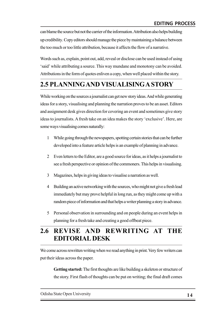can blame the source but not the carrier of the information. Attribution also helps building up credibility. Copy editors should manage the piece by maintaining a balance between the too much or too little attribution, because it affects the flow of a narrative.

Words such as, explain, point out, add, reveal or disclose can be used instead of using 'said' while attributing a source. This way mundane and monotony can be avoided. Attributions in the form of quotes enliven a copy, when well placed within the story.

# **2.5 PLANNINGAND VISUALISING A STORY**

While working on the sources a journalist can get new story ideas. And while generating ideas for a story, visualising and planning the narration proves to be an asset. Editors and assignment desk gives direction for covering an event and sometimes give story ideas to journalists. A fresh take on an idea makes the story 'exclusive'. Here, are some ways visualising comes naturally:

- 1 While going through the newspapers, spotting certain stories that can be further developed into a feature article helps is an example of planning in advance.
- 2 Even letters to the Editor, are a good source for ideas, as it helps a journalist to see a fresh perspective or opinion of the commoners. This helps in visualising.
- 3 Magazines, helps in giving ideas to visualise a narration as well.
- 4 Building an active networking with the sources, who might not give a fresh lead immediately but may prove helpful in long run, as they might come up with a random piece of information and that helps a writer planning a story in advance.
- 5 Personal observation in surrounding and on people during an event helps in planning for a fresh take and creating a good offbeat piece.

# **2.6 REVISE AND REWRITING AT THE EDITORIAL DESK**

We come across rewritten writing when we read anything in print. Very few writers can put their ideas across the paper.

**Getting started:** The first thoughts are like building a skeleton or structure of the story. First flash of thoughts can be put on writing; the final draft comes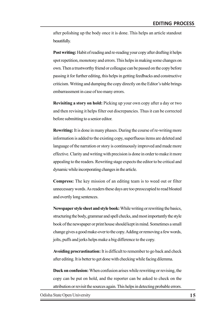after polishing up the body once it is done. This helps an article standout beautifully.

**Post writing:** Habit of reading and re-reading your copy after drafting it helps spot repetition, monotony and errors. This helps in making some changes on own. Then a trustworthy friend or colleague can be passed on the copy before passing it for further editing, this helps in getting feedbacks and constructive criticism. Writing and dumping the copy directly on the Editor's table brings embarrassment in case of too many errors.

**Revisiting a story on hold:** Picking up your own copy after a day or two and then revising it helps filter out discrepancies. Thus it can be corrected before submitting to a senior editor.

**Rewriting:** It is done in many phases. During the course of re-writing more information is added to the existing copy, superfluous items are deleted and language of the narration or story is continuously improved and made more effective. Clarity and writing with precision is done in order to make it more appealing to the readers. Rewriting stage expects the editor to be critical and dynamic while incorporating changes in the article.

**Compress:** The key mission of an editing team is to weed out or filter unnecessary words. As readers these days are too preoccupied to read bloated and overtly long sentences.

**Newspaper style sheet and style book:** While writing or rewriting the basics, structuring the body, grammar and spell checks, and most importantly the style book of the newspaper or print house should kept in mind. Sometimes a small change gives a good make-over to the copy. Adding or removing a few words, jolts, puffs and jerks helps make a big difference to the copy.

**Avoiding procrastination:** It is difficult to remember to go back and check after editing. It is better to get done with checking while facing dilemma.

**Duck on confusion:** When confusion arises while rewriting or revising, the copy can be put on hold, and the reporter can be asked to check on the attribution or revisit the sources again. This helps in detecting probable errors.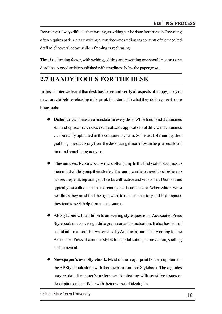Rewriting is always difficult than writing, as writing can be done from scratch. Rewriting often requires patience as rewriting a story becomes tedious as contents of the unedited draft might overshadow while reframing or rephrasing.

Time is a limiting factor, with writing, editing and rewriting one should not miss the deadline. A good article published with timeliness helps the paper grow.

# **2.7 HANDY TOOLS FOR THE DESK**

In this chapter we learnt that desk has to see and verify all aspects of a copy, story or news article before releasing it for print. In order to do what they do they need some basic tools:

- l **Dictionaries**: These are a mandate for every desk. While hard-bind dictionaries still find a place in the newsroom, software applications of different dictionaries can be easily uploaded in the computer system. So instead of running after grabbing one dictionary from the desk, using these software help saves a lot of time and searching synonyms.
- l **Thesauruses**: Reporters or writers often jump to the first verb that comes to their mind while typing their stories. Thesaurus can help the editors freshen up stories they edit, replacing dull verbs with active and vivid ones. Dictionaries typically list colloquialisms that can spark a headline idea. When editors write headlines they must find the right word to relate to the story and fit the space, they tend to seek help from the thesaurus.
- l **AP Stylebook**: In addition to answering style questions, Associated Press Stylebook is a concise guide to grammar and punctuation. It also has lists of useful information. This was created by American journalists working for the Associated Press. It contains styles for capitalisation, abbreviation, spelling and numerical.
- l **Newspaper's own Stylebook**: Most of the major print house, supplement the AP Stylebook along with their own customised Stylebook. These guides may explain the paper's preferences for dealing with sensitive issues or description or identifying with their own set of ideologies.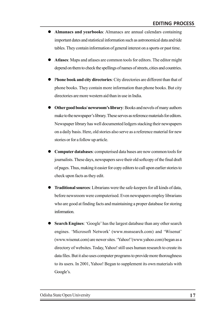- l **Almanacs and yearbooks**: Almanacs are annual calendars containing important dates and statistical information such as astronomical data and tide tables. They contain information of general interest on a sports or past time.
- l **Atlases**: Maps and atlases are common tools for editors. The editor might depend on them to check the spellings of names of streets, cities and countries.
- l P**hone book and city directories**: City directories are different than that of phone books. They contain more information than phone books. But city directories are more western aid than in use in India.
- **Other good books/ newsroom's library**: Books and novels of many authors make to the newspaper's library. These serves as reference materials for editors. Newspaper library has well documented ledgers stacking their newspapers on a daily basis. Here, old stories also serve as a reference material for new stories or for a follow up article.
- l **Computer databases**: computerised data bases are now common tools for journalists. These days, newspapers save their old softcopy of the final draft of pages. Thus, making it easier for copy editors to call upon earlier stories to check upon facts as they edit.
- l **Traditional sources**: Librarians were the safe-keepers for all kinds of data, before newsroom were computerised. Even newspapers employ librarians who are good at finding facts and maintaining a proper database for storing information.
- **Search Engines:** 'Google' has the largest database than any other search engines. 'Microsoft Network' (www.msnsearch.com) and 'Wisenut' (www.wisenut.com) are newer sites. 'Yahoo!'(www.yahoo.com) began as a directory of websites. Today, Yahoo! still uses human research to create its data files. But it also uses computer programs to provide more thoroughness to its users. In 2001, Yahoo! Began to supplement its own materials with Google's.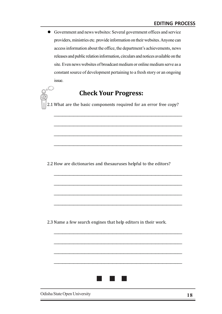l Government and news websites: Several government offices and service providers, ministries etc. provide information on their websites. Anyone can access information about the office, the department's achievements, news releases and public relation information, circulars and notices available on the site. Even news websites of broadcast medium or online medium serve as a constant source of development pertaining to a fresh story or an ongoing issue.

### **Check Your Progress:**

2.1 What are the basic components required for an error free copy?

\_\_\_\_\_\_\_\_\_\_\_\_\_\_\_\_\_\_\_\_\_\_\_\_\_\_\_\_\_\_\_\_\_\_\_\_\_\_\_\_\_\_\_\_\_\_\_\_\_\_\_\_\_\_\_\_\_\_\_\_\_\_\_\_\_\_\_\_\_\_\_\_\_\_\_\_\_\_\_\_\_\_\_\_\_\_\_\_\_\_\_\_

\_\_\_\_\_\_\_\_\_\_\_\_\_\_\_\_\_\_\_\_\_\_\_\_\_\_\_\_\_\_\_\_\_\_\_\_\_\_\_\_\_\_\_\_\_\_\_\_\_\_\_\_\_\_\_\_\_\_\_\_\_\_\_\_\_\_\_\_\_\_\_\_\_\_\_\_\_\_\_\_\_\_\_\_\_\_\_\_\_\_\_\_

\_\_\_\_\_\_\_\_\_\_\_\_\_\_\_\_\_\_\_\_\_\_\_\_\_\_\_\_\_\_\_\_\_\_\_\_\_\_\_\_\_\_\_\_\_\_\_\_\_\_\_\_\_\_\_\_\_\_\_\_\_\_\_\_\_\_\_\_\_\_\_\_\_\_\_\_\_\_\_\_\_\_\_\_\_\_\_\_\_\_\_\_

\_\_\_\_\_\_\_\_\_\_\_\_\_\_\_\_\_\_\_\_\_\_\_\_\_\_\_\_\_\_\_\_\_\_\_\_\_\_\_\_\_\_\_\_\_\_\_\_\_\_\_\_\_\_\_\_\_\_\_\_\_\_\_\_\_\_\_\_\_\_\_\_\_\_\_\_\_\_\_\_\_\_\_\_\_\_\_\_\_\_\_\_

\_\_\_\_\_\_\_\_\_\_\_\_\_\_\_\_\_\_\_\_\_\_\_\_\_\_\_\_\_\_\_\_\_\_\_\_\_\_\_\_\_\_\_\_\_\_\_\_\_\_\_\_\_\_\_\_\_\_\_\_\_\_\_\_\_\_\_\_\_\_\_\_\_\_\_\_\_\_\_\_\_\_\_\_\_\_\_\_\_\_\_\_

\_\_\_\_\_\_\_\_\_\_\_\_\_\_\_\_\_\_\_\_\_\_\_\_\_\_\_\_\_\_\_\_\_\_\_\_\_\_\_\_\_\_\_\_\_\_\_\_\_\_\_\_\_\_\_\_\_\_\_\_\_\_\_\_\_\_\_\_\_\_\_\_\_\_\_\_\_\_\_\_\_\_\_\_\_\_\_\_\_\_\_\_

\_\_\_\_\_\_\_\_\_\_\_\_\_\_\_\_\_\_\_\_\_\_\_\_\_\_\_\_\_\_\_\_\_\_\_\_\_\_\_\_\_\_\_\_\_\_\_\_\_\_\_\_\_\_\_\_\_\_\_\_\_\_\_\_\_\_\_\_\_\_\_\_\_\_\_\_\_\_\_\_\_\_\_\_\_\_\_\_\_\_\_\_

\_\_\_\_\_\_\_\_\_\_\_\_\_\_\_\_\_\_\_\_\_\_\_\_\_\_\_\_\_\_\_\_\_\_\_\_\_\_\_\_\_\_\_\_\_\_\_\_\_\_\_\_\_\_\_\_\_\_\_\_\_\_\_\_\_\_\_\_\_\_\_\_\_\_\_\_\_\_\_\_\_\_\_\_\_\_\_\_\_\_\_\_

\_\_\_\_\_\_\_\_\_\_\_\_\_\_\_\_\_\_\_\_\_\_\_\_\_\_\_\_\_\_\_\_\_\_\_\_\_\_\_\_\_\_\_\_\_\_\_\_\_\_\_\_\_\_\_\_\_\_\_\_\_\_\_\_\_\_\_\_\_\_\_\_\_\_\_\_\_\_\_\_\_\_\_\_\_\_\_\_\_\_\_\_

\_\_\_\_\_\_\_\_\_\_\_\_\_\_\_\_\_\_\_\_\_\_\_\_\_\_\_\_\_\_\_\_\_\_\_\_\_\_\_\_\_\_\_\_\_\_\_\_\_\_\_\_\_\_\_\_\_\_\_\_\_\_\_\_\_\_\_\_\_\_\_\_\_\_\_\_\_\_\_\_\_\_\_\_\_\_\_\_\_\_\_\_

\_\_\_\_\_\_\_\_\_\_\_\_\_\_\_\_\_\_\_\_\_\_\_\_\_\_\_\_\_\_\_\_\_\_\_\_\_\_\_\_\_\_\_\_\_\_\_\_\_\_\_\_\_\_\_\_\_\_\_\_\_\_\_\_\_\_\_\_\_\_\_\_\_\_\_\_\_\_\_\_\_\_\_\_\_\_\_\_\_\_\_\_

\_\_\_\_\_\_\_\_\_\_\_\_\_\_\_\_\_\_\_\_\_\_\_\_\_\_\_\_\_\_\_\_\_\_\_\_\_\_\_\_\_\_\_\_\_\_\_\_\_\_\_\_\_\_\_\_\_\_\_\_\_\_\_\_\_\_\_\_\_\_\_\_\_\_\_\_\_\_\_\_\_\_\_\_\_\_\_\_\_\_\_\_

2.2 How are dictionaries and thesauruses helpful to the editors?

2.3 Name a few search engines that help editors in their work.

| Odisha State Open University | 18 |
|------------------------------|----|
|------------------------------|----|

o٤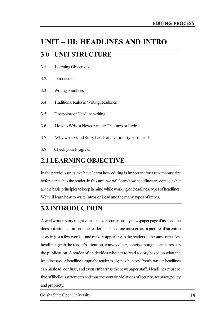# **UNIT – III: HEADLINES AND INTRO**

### **3.0 UNIT STRUCTURE**

- 3.1 Learning Objectives
- 3.2 Introduction
- 3.3 Writing Headlines
- 3.4 Traditional Rules in Writing Headlines
- 3.5 Fine points of Headline writing
- 3.6 How to Write a News Article: The Intro or Lede
- 3.7 Why write Good Story Leads and various types of leads
- 3.8 Check your Progress

### **2.1 LEARNING OBJECTIVE**

In the previous units, we have learnt how editing is important for a raw manuscript before it reaches the reader. In this unit, we will learn how headlines are coined, what are the basic principles to keep in mind while working on headlines, types of headlines. We will learn how to write Intros or Lead and the many types of intros.

### **3.2 INTRODUCTION**

A well written story might vanish into obscurity on any newspaper page if its headline does not attract or inform the reader. The headline must create a picture of an entire story in just a few words – and make it appealing to the readers at the same time. Apt headlines grab the reader's attention, convey clear, concise thoughts, and dress up the publication. A reader often decides whether to read a story based on what the headline says. A headline tempts the reader to dig into the story. Poorly written headlines can mislead, confuse, and even embarrass the newspaper staff. Headlines must be free of libellous statements and must not contain violations of security, accuracy, policy and propriety.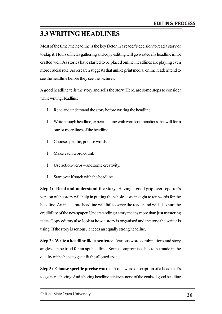# **3.3 WRITING HEADLINES**

Most of the time, the headline is the key factor in a reader's decision to read a story or to skip it. Hours of news gathering and copy-editing will go wasted if a headline is not crafted well. As stories have started to be placed online, headlines are playing even more crucial role. As research suggests that unlike print media, online readers tend to see the headline before they see the pictures.

A good headline tells the story and sells the story. Here, are some steps to consider while writing Headline:

- l Read and understand the story before writing the headline.
- l Write a rough headline, experimenting with word combinations that will form one or more lines of the headline.
- l Choose specific, precise words.
- l Make each word count.
- l Use action-verbs and some creativity.
- l Start over if stuck with the headline.

**Step 1:- Read and understand the story**- Having a good grip over reporter's version of the story will help in putting the whole story in eight to ten words for the headline. An inaccurate headline will fail to serve the reader and will also hurt the credibility of the newspaper. Understanding a story means more than just mastering facts. Copy editors also look at how a story is organised and the tone the writer is using. If the story is serious, it needs an equally strong headline.

**Step 2:- Write a headline like a sentence** - Various word combinations and story angles can be tried for an apt headline. Some compromises has to be made in the quality of the head to get it fit the allotted space.

**Step 3:- Choose specific precise words** - A one word description of a head that's too general: boring. And a boring headline achieves none of the goals of good headline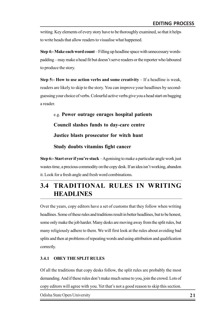writing. Key elements of every story have to be thoroughly examined, so that it helps to write heads that allow readers to visualise what happened.

**Step 4:- Make each word count** – Filling up headline space with unnecessary wordspadding – may make a head fit but doesn't serve readers or the reporter who laboured to produce the story.

**Step 5:- How to use action verbs and some creativity** – If a headline is weak, readers are likely to skip to the story. You can improve your headlines by secondguessing your choice of verbs. Colourful active verbs give you a head start on bagging a reader.

e.g. **Power outrage enrages hospital patients Council slashes funds to day-care centre Justice blasts prosecutor for witch hunt Study doubts vitamins fight cancer**

**Step 6:- Start over if you're stuck** – Agonising to make a particular angle work just wastes time, a precious commodity on the copy desk. If an idea isn't working, abandon it. Look for a fresh angle and fresh word combinations.

# **3.4 TRADITIONAL RULES IN WRITING HEADLINES**

Over the years, copy editors have a set of customs that they follow when writing headlines. Some of these rules and traditions result in better headlines, but to be honest, some only make the job harder. Many desks are moving away from the split rules, but many religiously adhere to them. We will first look at the rules about avoiding bad splits and then at problems of repeating words and using attribution and qualification correctly.

#### **3.4.1 OBEY THE SPLIT RULES**

Of all the traditions that copy desks follow, the split rules are probably the most demanding. And if these rules don't make much sense to you, join the crowd. Lots of copy editors will agree with you. Yet that's not a good reason to skip this section.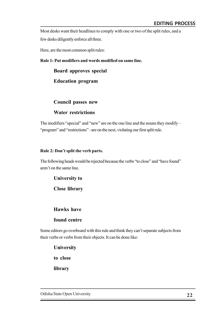Most desks want their headlines to comply with one or two of the split rules, and a few desks diligently enforce all three.

Here, are the most common split rules:

#### **Rule 1: Put modifiers and words modified on same line.**

#### **Board approves special**

#### **Education program**

#### **Council passes new**

#### **Water restrictions**

The modifiers "special" and "new" are on the one line and the nouns they modify – "program" and "restrictions" –are on the next, violating our first split rule.

#### **Rule 2: Don't split the verb parts.**

The following heads would be rejected because the verbs "to close" and "have found" aren't on the same line.

**University to**

#### **Close library**

#### **Hawks have**

#### **found centre**

Some editors go overboard with this rule and think they can't separate subjects from their verbs or verbs from their objects. It can be done like:

#### **University**

**to close**

**library**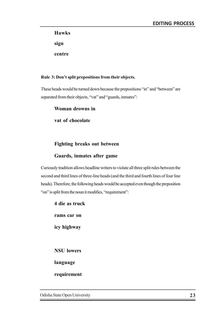**Hawks sign centre**

#### **Rule 3: Don't split prepositions from their objects.**

These heads would be turned down because the prepositions "in" and "between" are separated from their objects, "vat" and "guards, inmates":

#### **Woman drowns in**

**vat of chocolate**

#### **Fighting breaks out between**

#### **Guards, inmates after game**

Curiously tradition allows headline writers to violate all three split rules between the second and third lines of three-line heads (and the third and fourth lines of four line heads). Therefore, the following heads would be accepted even though the preposition "on" is split from the noun it modifies, "requirement":

**4 die as truck rams car on icy highway NSU lowers**

#### **language**

#### **requirement**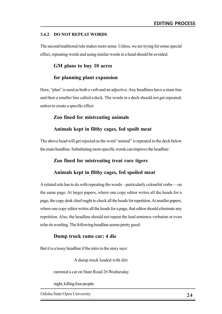#### **3.4.2 DO NOT REPEAT WORDS**

The second traditional rule makes more sense. Unless, we are trying for some special effect, repeating words and using similar words in a head should be avoided.

#### **GM plans to buy 10 acres**

#### **for planning plant expansion**

Here, "plan" is used as both a verb and an adjective. Any headlines have a main line and then a smaller line called a deck. The words in a deck should not get repeated, unless to create a specific effect.

#### **Zoo fined for mistreating animals**

#### **Animals kept in filthy cages, fed spoilt meat**

The above head will get rejected as the word "animal" is repeated in the deck below the main headline. Substituting more specific words can improve the headline:

#### **Zoo fined for mistreating treat rare tigers**

#### **Animals kept in filthy cages, fed spoiled meat**

A related rule has to do with repeating the words – particularly colourful verbs— on the same page. At larger papers, where one copy editor writes all the heads for a page, the copy desk chief ought to check all the heads for repetition. At smaller papers, where one copy editor writes all the heads for a page, that editor should eliminate any repetition. Also, the headline should not repeat the lead sentence verbatim or even echo its wording. The following headline seems pretty good:

#### **Dump truck rams car; 4 die**

But it is a lousy headline if the intro to the story says:

A dump truck loaded with dirt

rammed a car on State Road 26 Wednesday

night, killing four people.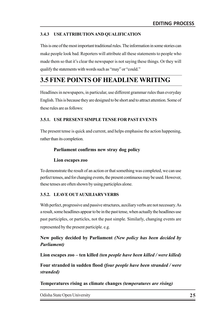#### **3.4.3 USE ATTRIBUTION AND QUALIFICATION**

This is one of the most important traditional rules. The information in some stories can make people look bad. Reporters will attribute all these statements to people who made them so that it's clear the newspaper is not saying these things. Or they will qualify the statements with words such as "may" or "could."

### **3.5 FINE POINTS OF HEADLINE WRITING**

Headlines in newspapers, in particular, use different grammar rules than everyday English. This is because they are designed to be short and to attract attention. Some of these rules are as follows:

#### **3.5.1. USE PRESENT SIMPLE TENSE FOR PAST EVENTS**

The present tense is quick and current, and helps emphasise the action happening, rather than its completion.

#### **Parliament confirms new stray dog policy**

#### **Lion escapes zoo**

To demonstrate the result of an action or that something was completed, we can use perfect tenses, and for changing events, the present continuous may be used. However, these tenses are often shown by using participles alone.

#### **3.5.2. LEAVE OUTAUXILIARY VERBS**

With perfect, progressive and passive structures, auxiliary verbs are not necessary. As a result, some headlines appear to be in the past tense, when actually the headlines use past participles, or particles, not the past simple. Similarly, changing events are represented by the present participle. e.g.

#### **New policy decided by Parliament** *(New policy has been decided by Parliament)*

**Lion escapes zoo – ten killed** *(ten people have been killed / were killed)*

**Four stranded in sudden flood** *(four people have been stranded / were stranded)*

**Temperatures rising as climate changes** *(temperatures are rising)*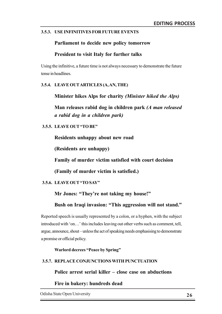#### **3.5.3. USE INFINITIVES FOR FUTURE EVENTS**

#### **Parliament to decide new policy tomorrow**

#### **President to visit Italy for further talks**

Using the infinitive, a future time is not always necessary to demonstrate the future tense in headlines.

#### **3.5.4. LEAVE OUTARTICLES (A, AN, THE)**

**Minister hikes Alps for charity** *(Minister hiked the Alps)*

**Man releases rabid dog in children park** *(A man released a rabid dog in a children park)*

 **3.5.5. LEAVE OUT "TO BE"**

**Residents unhappy about new road**

**(Residents are unhappy)**

**Family of murder victim satisfied with court decision**

**(Family of murder victim is satisfied.)**

**3.5.6. LEAVE OUT "TO SAY"**

**Mr Jones: "They're not taking my house!"**

**Bush on Iraqi invasion: "This aggression will not stand."**

Reported speech is usually represented by a colon, or a hyphen, with the subject introduced with 'on…' this includes leaving out other verbs such as comment, tell, argue, announce, shout – unless the act of speaking needs emphasising to demonstrate a promise or official policy.

**Warlord decrees "Peace by Spring"**

#### **3.5.7. REPLACE CONJUNCTIONS WITH PUNCTUATION**

**Police arrest serial killer – close case on abductions**

**Fire in bakery: hundreds dead**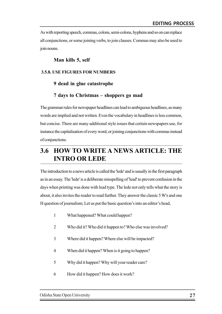As with reporting speech, commas, colons, semi-colons, hyphens and so on can replace all conjunctions, or some joining verbs, to join clauses. Commas may also be used to join nouns.

#### **Man kills 5, self**

#### **3.5.8. USE FIGURES FOR NUMBERS**

#### **9 dead in glue catastrophe**

#### **7 days to Christmas – shoppers go mad**

The grammar rules for newspaper headlines can lead to ambiguous headlines, as many words are implied and not written. Even the vocabulary in headlines is less common, but concise. There are many additional style issues that certain newspapers use, for instance the capitalisation of every word, or joining conjunctions with commas instead of conjunctions.

# **3.6 HOW TO WRITE A NEWS ARTICLE: THE INTRO OR LEDE**

The introduction to a news article is called the 'lede' and is usually in the first paragraph as in an essay. The 'lede' is a deliberate misspelling of 'lead' to prevent confusion in the days when printing was done with lead type. The lede not only tells what the story is about, it also invites the reader to read further. They answer the classic 5 W's and one H question of journalism; Let us put the basic question's into an editor's head,

- 1 What happened? What could happen?
- 2 Who did it? Who did it happen to? Who else was involved?
- 3 Where did it happen? Where else will be impacted?
- 4 When did it happen? When is it going to happen?
- 5 Why did it happen? Why will your reader care?
- 6 How did it happen? How does it work?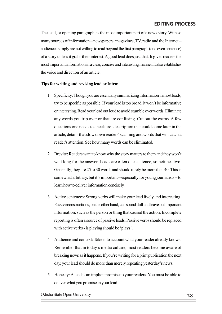The lead, or opening paragraph, is the most important part of a news story. With so many sources of information – newspapers, magazines, TV, radio and the Internet – audiences simply are not willing to read beyond the first paragraph (and even sentence) of a story unless it grabs their interest. A good lead does just that. It gives readers the most important information in a clear, concise and interesting manner. It also establishes the voice and direction of an article.

#### **Tips for writing and revising lead or Intro:**

- 1 Specificity: Though you are essentially summarizing information in most leads, try to be specific as possible. If your lead is too broad, it won't be informative or interesting. Read your lead out loud to avoid stumble over words. Eliminate any words you trip over or that are confusing. Cut out the extras. A few questions one needs to check are- description that could come later in the article, details that slow down readers' scanning and words that will catch a reader's attention. See how many words can be eliminated.
- 2 Brevity: Readers want to know why the story matters to them and they won't wait long for the answer. Leads are often one sentence, sometimes two. Generally, they are 25 to 30 words and should rarely be more than 40. This is somewhat arbitrary, but it's important – especially for young journalists – to learn how to deliver information concisely.
- 3 Active sentences: Strong verbs will make your lead lively and interesting. Passive constructions, on the other hand, can sound dull and leave out important information, such as the person or thing that caused the action. Incomplete reporting is often a source of passive leads. Passive verbs should be replaced with active verbs - is playing should be 'plays'.
- 4 Audience and context: Take into account what your reader already knows. Remember that in today's media culture, most readers become aware of breaking news as it happens. If you're writing for a print publication the next day, your lead should do more than merely repeating yesterday's news.
- 5 Honesty: A lead is an implicit promise to your readers. You must be able to deliver what you promise in your lead.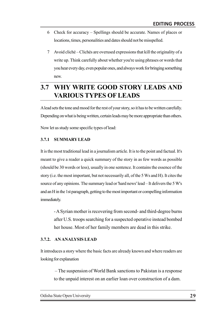- 6 Check for accuracy Spellings should be accurate. Names of places or locations, times, personalities and dates should not be misspelled.
- 7 Avoid cliché Clichés are overused expressions that kill the originality of a write up. Think carefully about whether you're using phrases or words that you hear every day, even popular ones, and always work for bringing something new.

# **3.7 WHY WRITE GOOD STORY LEADS AND VARIOUS TYPES OF LEADS**

A lead sets the tone and mood for the rest of your story, so it has to be written carefully. Depending on what is being written, certain leads may be more appropriate than others.

Now let us study some specific types of lead:

#### **3.7.1 SUMMARY LEAD**

It is the most traditional lead in a journalism article. It is to the point and factual. It's meant to give a reader a quick summary of the story in as few words as possible (should be 30 words or less), usually in one sentence. It contains the essence of the story (i.e. the most important, but not necessarily all, of the 5 Ws and H). It cites the source of any opinions. The summary lead or 'hard news' lead – It delivers the 5 W's and an H in the 1st paragraph, getting to the most important or compelling information immediately.

- A Syrian mother is recovering from second- and third-degree burns after U.S. troops searching for a suspected operative instead bombed her house. Most of her family members are dead in this strike.

#### **3.7.2. AN ANALYSIS LEAD**

It introduces a story where the basic facts are already known and where readers are looking for explanation

 – The suspension of World Bank sanctions to Pakistan is a response to the unpaid interest on an earlier loan over construction of a dam.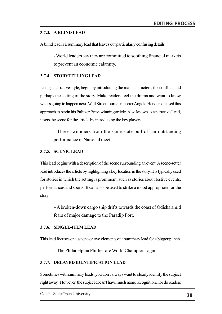#### **3.7.3. A BLIND LEAD**

A blind lead is a summary lead that leaves out particularly confusing details

- World leaders say they are committed to soothing financial markets to prevent an economic calamity.

#### **3.7.4. STORYTELLING LEAD**

Using a narrative style, begin by introducing the main characters, the conflict, and perhaps the setting of the story. Make readers feel the drama and want to know what's going to happen next. Wall Street Journal reporter Angelo Henderson used this approach to begin his Pulitzer Prize-winning article. Also known as a narrative Lead, it sets the scene for the article by introducing the key players.

- Three swimmers from the same state pull off an outstanding performance in National meet.

#### **3.7.5. SCENIC LEAD**

This lead begins with a description of the scene surrounding an event. A scene-setter lead introduces the article by highlighting a key location in the story. It is typically used for stories in which the setting is prominent, such as stories about festive events, performances and sports. It can also be used to strike a mood appropriate for the story.

– A broken-down cargo ship drifts towards the coast of Odisha amid fears of major damage to the Paradip Port.

#### **3.7.6. SINGLE-ITEM LEAD**

This lead focuses on just one or two elements of a summary lead for a bigger punch.

– The Philadelphia Phillies are World Champions again.

#### **3.7.7. DELAYED IDENTIFICATION LEAD**

Sometimes with summary leads, you don't always want to clearly identify the subject right away. However, the subject doesn't have much name recognition, nor do readers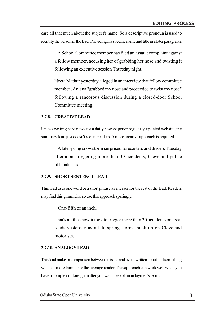care all that much about the subject's name. So a descriptive pronoun is used to identify the person in the lead. Providing his specific name and title in a later paragraph.

– A School Committee member has filed an assault complaint against a fellow member, accusing her of grabbing her nose and twisting it following an executive session Thursday night.

Neeta Mathur yesterday alleged in an interview that fellow committee member , Anjana "grabbed my nose and proceeded to twist my nose" following a rancorous discussion during a closed-door School Committee meeting.

#### **3.7.8. CREATIVE LEAD**

Unless writing hard news for a daily newspaper or regularly-updated website, the summary lead just doesn't reel in readers. A more creative approach is required.

– A late spring snowstorm surprised forecasters and drivers Tuesday afternoon, triggering more than 30 accidents, Cleveland police officials said.

#### **3.7.9. SHORT SENTENCE LEAD**

This lead uses one word or a short phrase as a teaser for the rest of the lead. Readers may find this gimmicky, so use this approach sparingly.

– One-fifth of an inch.

That's all the snow it took to trigger more than 30 accidents on local roads yesterday as a late spring storm snuck up on Cleveland motorists.

#### **3.7.10. ANALOGY LEAD**

This lead makes a comparison between an issue and event written about and something which is more familiar to the average reader. This approach can work well when you have a complex or foreign matter you want to explain in laymen's terms.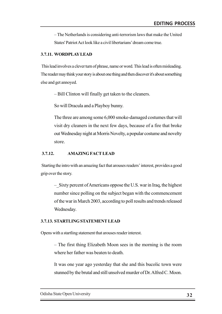– The Netherlands is considering anti-terrorism laws that make the United States' Patriot Act look like a civil libertarians' dream come true.

#### **3.7.11. WORDPLAY LEAD**

 This lead involves a clever turn of phrase, name or word. This lead is often misleading. The reader may think your story is about one thing and then discover it's about something else and get annoyed.

– Bill Clinton will finally get taken to the cleaners.

So will Dracula and a Playboy bunny.

The three are among some 6,000 smoke-damaged costumes that will visit dry cleaners in the next few days, because of a fire that broke out Wednesday night at Morris Novelty, a popular costume and novelty store.

#### **3.7.12. AMAZING FACT LEAD**

 Starting the intro with an amazing fact that arouses readers' interest, provides a good grip over the story.

–\_Sixty percent of Americans oppose the U.S. war in Iraq, the highest number since polling on the subject began with the commencement of the war in March 2003, according to poll results and trends released Wednesday.

#### **3.7.13. STARTLING STATEMENT LEAD**

Opens with a startling statement that arouses reader interest.

– The first thing Elizabeth Moon sees in the morning is the room where her father was beaten to death.

It was one year ago yesterday that she and this bucolic town were stunned by the brutal and still unsolved murder of Dr. Alfred C. Moon.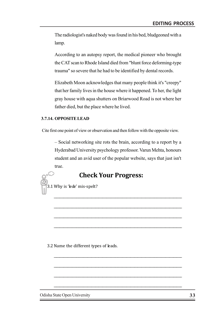The radiologist's naked body was found in his bed, bludgeoned with a lamp.

According to an autopsy report, the medical pioneer who brought the CAT scan to Rhode Island died from "blunt force deforming-type trauma" so severe that he had to be identified by dental records.

Elizabeth Moon acknowledges that many people think it's "creepy" that her family lives in the house where it happened. To her, the light gray house with aqua shutters on Briarwood Road is not where her father died, but the place where he lived.

#### **3.7.14. OPPOSITE LEAD**

Cite first one point of view or observation and then follow with the opposite view.

– Social networking site rots the brain, according to a report by a Hyderabad University psychology professor. Varun Mehta, honours student and an avid user of the popular website, says that just isn't true.

\_\_\_\_\_\_\_\_\_\_\_\_\_\_\_\_\_\_\_\_\_\_\_\_\_\_\_\_\_\_\_\_\_\_\_\_\_\_\_\_\_\_\_\_\_\_\_\_\_\_\_\_\_\_\_\_\_\_\_\_\_\_\_\_\_\_\_\_\_\_\_\_\_\_\_\_\_\_\_\_\_\_\_\_\_\_\_\_\_\_\_\_

\_\_\_\_\_\_\_\_\_\_\_\_\_\_\_\_\_\_\_\_\_\_\_\_\_\_\_\_\_\_\_\_\_\_\_\_\_\_\_\_\_\_\_\_\_\_\_\_\_\_\_\_\_\_\_\_\_\_\_\_\_\_\_\_\_\_\_\_\_\_\_\_\_\_\_\_\_\_\_\_\_\_\_\_\_\_\_\_\_\_\_\_

\_\_\_\_\_\_\_\_\_\_\_\_\_\_\_\_\_\_\_\_\_\_\_\_\_\_\_\_\_\_\_\_\_\_\_\_\_\_\_\_\_\_\_\_\_\_\_\_\_\_\_\_\_\_\_\_\_\_\_\_\_\_\_\_\_\_\_\_\_\_\_\_\_\_\_\_\_\_\_\_\_\_\_\_\_\_\_\_\_\_\_\_

\_\_\_\_\_\_\_\_\_\_\_\_\_\_\_\_\_\_\_\_\_\_\_\_\_\_\_\_\_\_\_\_\_\_\_\_\_\_\_\_\_\_\_\_\_\_\_\_\_\_\_\_\_\_\_\_\_\_\_\_\_\_\_\_\_\_\_\_\_\_\_\_\_\_\_\_\_\_\_\_\_\_\_\_\_\_\_\_\_\_\_\_

\_\_\_\_\_\_\_\_\_\_\_\_\_\_\_\_\_\_\_\_\_\_\_\_\_\_\_\_\_\_\_\_\_\_\_\_\_\_\_\_\_\_\_\_\_\_\_\_\_\_\_\_\_\_\_\_\_\_\_\_\_\_\_\_\_\_\_\_\_\_\_\_\_\_\_\_\_\_\_\_\_\_\_\_\_\_\_\_\_\_\_\_

\_\_\_\_\_\_\_\_\_\_\_\_\_\_\_\_\_\_\_\_\_\_\_\_\_\_\_\_\_\_\_\_\_\_\_\_\_\_\_\_\_\_\_\_\_\_\_\_\_\_\_\_\_\_\_\_\_\_\_\_\_\_\_\_\_\_\_\_\_\_\_\_\_\_\_\_\_\_\_\_\_\_\_\_\_\_\_\_\_\_\_\_

\_\_\_\_\_\_\_\_\_\_\_\_\_\_\_\_\_\_\_\_\_\_\_\_\_\_\_\_\_\_\_\_\_\_\_\_\_\_\_\_\_\_\_\_\_\_\_\_\_\_\_\_\_\_\_\_\_\_\_\_\_\_\_\_\_\_\_\_\_\_\_\_\_\_\_\_\_\_\_\_\_\_\_\_\_\_\_\_\_\_\_\_

\_\_\_\_\_\_\_\_\_\_\_\_\_\_\_\_\_\_\_\_\_\_\_\_\_\_\_\_\_\_\_\_\_\_\_\_\_\_\_\_\_\_\_\_\_\_\_\_\_\_\_\_\_\_\_\_\_\_\_\_\_\_\_\_\_\_\_\_\_\_\_\_\_\_\_\_\_\_\_\_\_\_\_\_\_\_\_\_\_\_\_\_

**Check Your Progress:**

3.1 Why is 'lede' mis-spelt?

3.2 Name the different types of leads.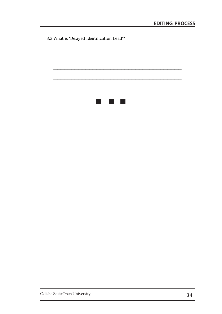3.3 What is 'Delayed Identification Lead'?

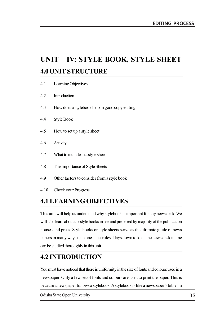# **UNIT – IV: STYLE BOOK, STYLE SHEET**

### **4.0 UNIT STRUCTURE**

- 4.1 Learning Objectives
- 4.2 Introduction
- 4.3 How does a stylebook help in good copy editing
- 4.4 Style Book
- 4.5 How to set up a style sheet
- 4.6 Activity
- 4.7 What to include in a style sheet
- 4.8 The Importance of Style Sheets
- 4.9 Other factors to consider from a style book
- 4.10 Check your Progress

# **4.1 LEARNING OBJECTIVES**

This unit will help us understand why stylebook is important for any news desk. We will also learn about the style books in use and preferred by majority of the publication houses and press. Style books or style sheets serve as the ultimate guide of news papers in many ways than one. The rules it lays down to keep the news desk in line can be studied thoroughly in this unit.

### **4.2 INTRODUCTION**

You must have noticed that there is uniformity in the size of fonts and colours used in a newspaper. Only a few set of fonts and colours are used to print the paper. This is because a newspaper follows a stylebook. A stylebook is like a newspaper's bible. In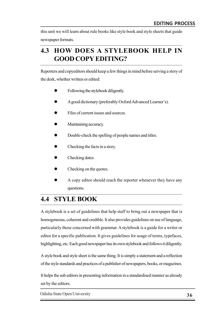this unit we will learn about rule books like style book and style sheets that guide newspaper formats.

# **4.3 HOW DOES A STYLEBOOK HELP IN GOOD COPY EDITING?**

Reporters and copyeditors should keep a few things in mind before serving a story of the desk, whether written or edited:

- l Following the stylebook diligently.
- l A good dictionary (preferably Oxford Advanced Learner's).
- Files of current issues and sources.
- Maintaining accuracy.
- l Double-check the spelling of people names and titles.
- Checking the facts in a story.
- Checking dates.
- Checking on the quotes.
- l A copy editor should reach the reporter whenever they have any questions.

### **4.4 STYLE BOOK**

A stylebook is a set of guidelines that help staff to bring out a newspaper that is homogeneous, coherent and credible. It also provides guidelines on use of language, particularly those concerned with grammar. A stylebook is a guide for a writer or editor for a specific publication. It gives guidelines for usage of terms, typefaces, highlighting, etc. Each good newspaper has its own stylebook and follows it diligently.

A style book and style sheet is the same thing. It is simply a statement and a reflection of the style standards and practices of a publisher of newspapers, books, or magazines.

It helps the sub editors in presenting information in a standardised manner as already set by the editors.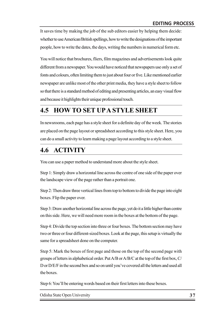It saves time by making the job of the sub editors easier by helping them decide: whether to use American/British spellings, how to write the designations of the important people, how to write the dates, the days, writing the numbers in numerical form etc.

You will notice that brochures, fliers, film magazines and advertisements look quite different from a newspaper. You would have noticed that newspapers use only a set of fonts and colours, often limiting them to just about four or five. Like mentioned earlier newspaper are unlike most of the other print media, they have a style sheet to follow so that there is a standard method of editing and presenting articles, an easy visual flow and because it highlights their unique professional touch.

# **4.5 HOW TO SET UP A STYLE SHEET**

In newsrooms, each page has a style sheet for a definite day of the week. The stories are placed on the page layout or spreadsheet according to this style sheet. Here, you can do a small activity to learn making a page layout according to a style sheet.

# **4.6 ACTIVITY**

You can use a paper method to understand more about the style sheet.

Step 1: Simply draw a horizontal line across the centre of one side of the paper over the landscape view of the page rather than a portrait one.

Step 2: Then draw three vertical lines from top to bottom to divide the page into eight boxes. Flip the paper over.

Step 3: Draw another horizontal line across the page, yet do it a little higher than centre on this side. Here, we will need more room in the boxes at the bottom of the page.

Step 4: Divide the top section into three or four boxes. The bottom section may have two or three or four different-sized boxes. Look at the page, this setup is virtually the same for a spreadsheet done on the computer.

Step 5: Mark the boxes of first page and those on the top of the second page with groups of letters in alphabetical order. Put A/B or A/B/C at the top of the first box, C/ D or D/E/F in the second box and so on until you've covered all the letters and used all the boxes.

Step 6: You'll be entering words based on their first letters into these boxes.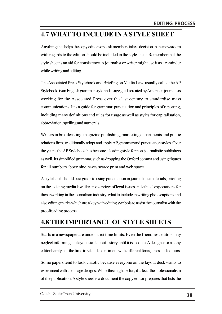# **4.7 WHAT TO INCLUDE IN A STYLE SHEET**

Anything that helps the copy editors or desk members take a decision in the newsroom with regards to the edition should be included in the style sheet. Remember that the style sheet is an aid for consistency. A journalist or writer might use it as a reminder while writing and editing.

The Associated Press Stylebook and Briefing on Media Law, usually called the AP Stylebook, is an English grammar style and usage guide created by American journalists working for the Associated Press over the last century to standardise mass communications. It is a guide for grammar, punctuation and principles of reporting, including many definitions and rules for usage as well as styles for capitalisation, abbreviation, spelling and numerals.

Writers in broadcasting, magazine publishing, marketing departments and public relations firms traditionally adopt and apply AP grammar and punctuation styles. Over the years, the AP Stylebook has become a leading style for non-journalistic publishers as well. Its simplified grammar, such as dropping the Oxford comma and using figures for all numbers above nine, saves scarce print and web space.

A style book should be a guide to using punctuation in journalistic materials, briefing on the existing media law like an overview of legal issues and ethical expectations for those working in the journalism industry, what to include in writing photo captions and also editing marks which are a key with editing symbols to assist the journalist with the proofreading process.

### **4.8 THE IMPORTANCE OF STYLE SHEETS**

Staffs in a newspaper are under strict time limits. Even the friendliest editors may neglect informing the layout staff about a story until it is too late. A designer or a copy editor barely has the time to sit and experiment with different fonts, sizes and colours.

Some papers tend to look chaotic because everyone on the layout desk wants to experiment with their page designs. While this might be fun, it affects the professionalism of the publication. A style sheet is a document the copy editor prepares that lists the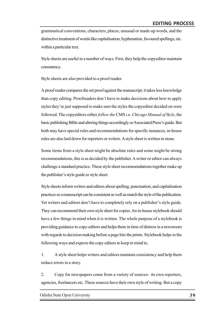grammatical conventions, characters, places, unusual or made-up words, and the distinctive treatment of words like capitalisation, hyphenation, favoured spellings, etc. within a particular text.

Style sheets are useful in a number of ways. First, they help the copyeditor maintain consistency.

Style sheets are also provided to a proof reader.

A proof reader compares the set proof against the manuscript; it takes less knowledge than copy editing. Proofreaders don't have to make decisions about how to apply styles they're just supposed to make sure the styles the copyeditor decided on were followed. The copyeditors either *follow the* CMS i.e. *Chicago Manual of Style*, the basic publishing Bible and altering things accordingly or Associated Press's guide. But both may have special rules and recommendations for specific instances, in-house rules are also laid down for reporters or writers. A style sheet is written in stone.

Some items from a style sheet might be absolute rules and some might be strong recommendations, this is as decided by the publisher. A writer or editor can always challenge a standard practice. These style sheet recommendations together make up the publisher's style guide or style sheet.

Style sheets inform writers and editors about spelling, punctuation, and capitalisation practices so a manuscript can be consistent as well as match the style of the publication. Yet writers and editors don't have to completely rely on a publisher's style guide. They can recommend their own style sheet for copies. An in-house stylebook should have a few things in mind when it is written. The whole purpose of a stylebook is providing guidance to copy-editors and helps them in time of distress in a newsroom with regards to decision making before a page hits the prints. Stylebook helps in the following ways and expects the copy editors to keep in mind to,

1. A style sheet helps writers and editors maintain consistency and help them reduce errors in a story.

2. Copy for newspapers come from a variety of sources– its own reporters, agencies, freelancers etc. These sources have their own style of writing. But a copy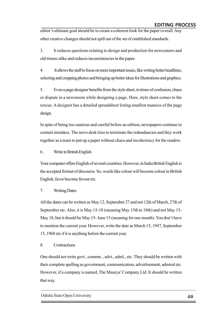editor's ultimate goal should be to create a coherent look for the paper overall. Any other creative changes should not spill out of the set of established standards.

3. It reduces questions relating to design and production for newcomers and old-timers alike and reduces inconsistencies in the paper.

4. It allows the staff to focus on more important issues, like writing better headlines, selecting and cropping photos and bringing up better ideas for illustrations and graphics.

5. Even a page designer benefits from the style sheet, in times of confusion, chaos or dispute in a newsroom while designing a page. Here, style sheet comes to the rescue. A designer has a detailed spreadsheet listing smallest nuances of the page design.

In spite of being too cautious and careful before an edition, newspapers continue to contain mistakes. The news desk tries to terminate the redundancies and they work together as a team to put up a paper without chaos and incoherency for the readers.

6. Write in British English

Your computer offers English of several countries. However, in India British English is the accepted format of discourse. So, words like colour will become colour in British English, favor become favour etc.

7. Writing Dates

All the dates can be written as May 12, September 27 and not 12th of March, 27th of September etc. Also, it is May 15-18 (meaning May 15th to 18th) and not May 15- May 18, but it should be May 15- June 15 (meaning for one month). You don't have to mention the current year. However, write the date as March 15, 1947, September 15, 1968 etc if it is anything before the current year.

8. Contractions

One should not write govt., commn. , advt., adml., etc. They should be written with their complete spelling as government, communication, advertisement, admiral etc. However, if a company is named, The Maurya' Company Ltd. It should be written that way.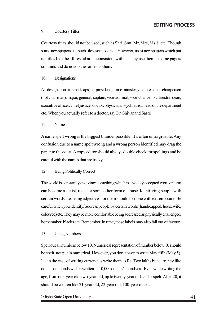#### 9. Courtesy Titles

Courtesy titles should not be used, such as Shri, Smt, Mr, Mrs, Ms, ji etc. Though some newspapers use such tiles, some do not. However, most newspapers which put up titles like the aforesaid are inconsistent with it. They use them in some pages/ columns and do not do the same in others.

#### 10. Designations

All designations in small caps, i.e. president, prime minister, vice-president, chairperson (not chairman), major, general, captain, vice-admiral, vice-chancellor, director, dean, executive officer, chief justice, doctor, physician, psychiatrist, head of the department etc. When you actually refer to a doctor, say Dr. Shivanand Sastri.

#### 11. Names

A name spelt wrong is the biggest blunder possible. It's often unforgivable. Any confusion due to a name spelt wrong and a wrong person identified may drag the paper to the court. A copy editor should always double check for spellings and be careful with the names that are tricky.

#### 12. Being Politically Correct

The world is constantly evolving; something which is a widely accepted word or term can become a sexist, racist or some other form of abuse. Identifying people with certain words, i.e. using adjectives for them should be done with extreme care. Be careful when you identify/ address people by certain words (handicapped, housewife, coloured) etc. They may be more comfortable being addressed as physically challenged, homemaker, blacks etc. Remember, in time, these labels may also fall out of favour.

#### 13. Using Numbers

Spell out all numbers below 10. Numerical representation of number below 10 should be spelt, not put in numerical. However, you don't have to write May fifth (May 5). I.e. in the case of writing currencies write them as Rs. Two lakhs but currency like dollars or pounds will be written as 10,000 dollars/ pounds etc. Even while writing the age, from one-year old, two-year old, up to twenty-year old can be spelt. After 20, it should be written like 21-year old, 22-year old, 100-year old etc.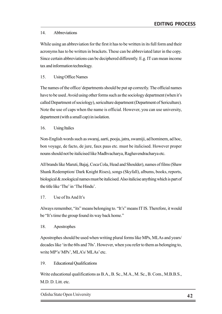#### 14 Abbreviations

While using an abbreviation for the first it has to be written in its full form and their acronyms has to be written in brackets. These can be abbreviated later in the copy. Since certain abbreviations can be deciphered differently. E.g. IT can mean income tax and information technology.

#### 15. Using Office Names

The names of the office/ departments should be put up correctly. The official names have to be used. Avoid using other forms such as the sociology department (when it's called Department of sociology), sericulture department (Department of Sericulture). Note the use of caps when the name is official. However, you can use university, department (with a small cap) in isolation.

#### 16. Using Italics

Non-English words such as swaraj, aarti, pooja, jatra, swamiji, ad hominem, ad hoc, bon voyage, de facto, de jure, faux paus etc. must be italicised. However proper nouns should not be italicised like Madhvacharya, Raghavendracharya etc.

All brands like Maruti, Bajaj, Coca Cola, Head and Shoulder), names of films (Shaw Shank Redemption/ Dark Knight Rises), songs (Skyfall), albums, books, reports, biological & zoological names must be italicised. Also italicise anything which is part of the title like 'The' in 'The Hindu'.

#### 17. Use of Its And It's

Always remember, "its" means belonging to. "It's" means IT IS. Therefore, it would be "It's time the group found its way back home."

#### 18. Apostrophes

Apostrophes should be used when writing plural forms like MPs, MLAs and years/ decades like 'in the 60s and 70s'. However, when you refer to them as belonging to, write MP's/ MPs', MLA's/ MLAs' etc.

#### 19. Educational Qualifications

Write educational qualifications as B.A., B. Sc., M.A., M. Sc., B. Com., M.B.B.S., M.D. D. Litt. etc.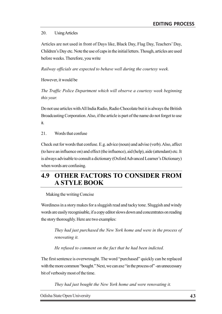20. Using Articles

Articles are not used in front of Days like, Black Day, Flag Day, Teachers' Day, Children's Day etc. Note the use of caps in the initial letters. Though, articles are used before weeks. Therefore, you write

*Railway officials are expected to behave well during the courtesy week.*

However, it would be

*The Traffic Police Department which will observe a courtesy week beginning this year.*

Do not use articles with All India Radio, Radio Chocolate but it is always the British Broadcasting Corporation. Also, if the article is part of the name do not forget to use it.

#### 21. Words that confuse

Check out for words that confuse. E.g. advice (noun) and advise (verb). Also, affect (to have an influence on) and effect (the influence), aid (help), aide (attendant) etc. It is always advisable to consult a dictionary (Oxford Advanced Learner's Dictionary) when words are confusing.

### **4.9 OTHER FACTORS TO CONSIDER FROM A STYLE BOOK**

Making the writing Concise

Wordiness in a story makes for a sluggish read and tacky tone. Sluggish and windy words are easily recognisable, if a copy editor slows down and concentrates on reading the story thoroughly. Here are two examples:

*They had just purchased the New York home and were in the process of renovating it.*

*He refused to comment on the fact that he had been indicted.*

The first sentence is overwrought. The word "purchased" quickly can be replaced with the more common "bought." Next, we can axe "in the process of" -an unnecessary bit of verbosity most of the time.

*They had just bought the New York home and were renovating it.*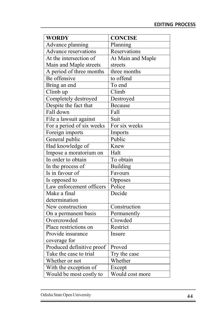| <b>WORDY</b>                | <b>CONCISE</b>      |  |
|-----------------------------|---------------------|--|
| Advance planning            | Planning            |  |
| <b>Advance reservations</b> | <b>Reservations</b> |  |
| At the intersection of      | At Main and Maple   |  |
| Main and Maple streets      | streets             |  |
| A period of three months    | three months        |  |
| Be offensive                | to offend           |  |
| Bring an end                | To end              |  |
| Climb up                    | Climb               |  |
| Completely destroyed        | Destroyed           |  |
| Despite the fact that       | <b>Because</b>      |  |
| Fall down                   | Fall                |  |
| File a lawsuit against      | Suit                |  |
| For a period of six weeks   | For six weeks       |  |
| Foreign imports             | Imports             |  |
| General public              | Public              |  |
| Had knowledge of            | Knew                |  |
| Impose a moratorium on      | Halt                |  |
| In order to obtain          | To obtain           |  |
| In the process of           | <b>Building</b>     |  |
| Is in favour of             | Favours             |  |
| Is opposed to               | Opposes             |  |
| Law enforcement officers    | Police              |  |
| Make a final                | Decide              |  |
| determination               |                     |  |
| New construction            | Construction        |  |
| On a permanent basis        | Permanently         |  |
| Overcrowded                 | Crowded             |  |
| Place restrictions on       | Restrict            |  |
| Provide insurance           | Insure              |  |
| coverage for                |                     |  |
| Produced definitive proof   | Proved              |  |
| Take the case to trial      | Try the case        |  |
| Whether or not              | Whether             |  |
| With the exception of       | Except              |  |
| Would be most costly to     | Would cost more     |  |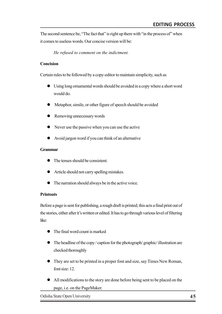The second sentence be, "The fact that" is right up there with "in the process of" when it comes to useless words. Our concise version will be:

*He refused to comment on the indictment.*

#### **Concision**

Certain rules to be followed by a copy-editor to maintain simplicity, such as

- l Using long ornamental words should be avoided in a copy where a short word would do.
- Metaphor, simile, or other figure of speech should be avoided
- Removing unnecessary words
- $\bullet$  Never use the passive when you can use the active
- Avoid jargon word if you can think of an alternative

#### **Grammar**

- $\bullet$  The tenses should be consistent.
- $\bullet$  Article should not carry spelling mistakes.
- The narration should always be in the active voice.

#### **Printouts**

Before a page is sent for publishing, a rough draft is printed; this acts a final print out of the stories, either after it's written or edited. It has to go through various level of filtering like:

- $\bullet$  The final word count is marked
- $\bullet$  The headline of the copy / caption for the photograph/ graphic/ illustration are checked thoroughly
- l They are set to be printed in a proper font and size, say Times New Roman, font size: 12.
- l All modifications to the story are done before being sent to be placed on the page, i.e. on the PageMaker.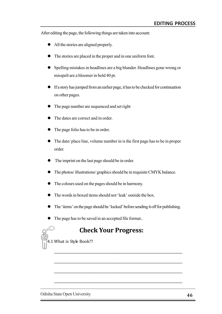After editing the page, the following things are taken into account:

- All the stories are aligned properly.
- The stories are placed in the proper and in one uniform font.
- Spelling mistakes in headlines are a big blunder. Headlines gone wrong or misspelt are a bloomer in bold 40 pt.
- If a story has jumped from an earlier page, it has to be checked for continuation on other pages.
- The page number are sequenced and set right
- The dates are correct and in order.
- $\bullet$  The page folio has to be in order.
- The date/ place line, volume number in is the first page has to be in proper order.
- The imprint on the last page should be in order.
- The photos/ illustrations/ graphics should be in requisite CMYK balance.
- $\bullet$  The colours used on the pages should be in harmony.
- The words in boxed items should not 'leak' outside the box.
- l The 'items' on the page should be 'locked' before sending it off for publishing.
- The page has to be saved in an accepted file format...

### **Check Your Progress:**

\_\_\_\_\_\_\_\_\_\_\_\_\_\_\_\_\_\_\_\_\_\_\_\_\_\_\_\_\_\_\_\_\_\_\_\_\_\_\_\_\_\_\_\_\_\_\_\_\_\_\_\_\_\_\_\_\_\_\_\_\_\_\_\_\_\_\_\_\_\_\_\_\_\_\_\_\_\_\_\_\_\_\_\_\_\_\_\_\_\_\_\_

\_\_\_\_\_\_\_\_\_\_\_\_\_\_\_\_\_\_\_\_\_\_\_\_\_\_\_\_\_\_\_\_\_\_\_\_\_\_\_\_\_\_\_\_\_\_\_\_\_\_\_\_\_\_\_\_\_\_\_\_\_\_\_\_\_\_\_\_\_\_\_\_\_\_\_\_\_\_\_\_\_\_\_\_\_\_\_\_\_\_\_\_

\_\_\_\_\_\_\_\_\_\_\_\_\_\_\_\_\_\_\_\_\_\_\_\_\_\_\_\_\_\_\_\_\_\_\_\_\_\_\_\_\_\_\_\_\_\_\_\_\_\_\_\_\_\_\_\_\_\_\_\_\_\_\_\_\_\_\_\_\_\_\_\_\_\_\_\_\_\_\_\_\_\_\_\_\_\_\_\_\_\_\_\_

\_\_\_\_\_\_\_\_\_\_\_\_\_\_\_\_\_\_\_\_\_\_\_\_\_\_\_\_\_\_\_\_\_\_\_\_\_\_\_\_\_\_\_\_\_\_\_\_\_\_\_\_\_\_\_\_\_\_\_\_\_\_\_\_\_\_\_\_\_\_\_\_\_\_\_\_\_\_\_\_\_\_\_\_\_\_\_\_\_\_\_\_

4.1 What is Style Book??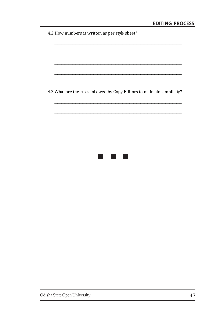| 4.3 What are the rules followed by Copy Editors to maintain simplicity? |
|-------------------------------------------------------------------------|
|                                                                         |
|                                                                         |
|                                                                         |
|                                                                         |
|                                                                         |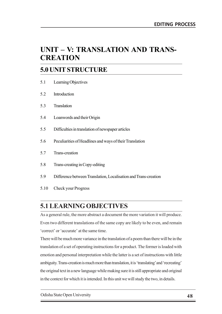# **UNIT – V: TRANSLATION AND TRANS-CREATION**

### **5.0 UNIT STRUCTURE**

- 5.1 Learning Objectives
- 5.2 Introduction
- 5.3 Translation
- 5.4 Loanwords and their Origin
- 5.5 Difficulties in translation of newspaper articles
- 5.6 Peculiarities of Headlines and ways of their Translation
- 5.7 Trans-creation
- 5.8 Trans-creating in Copy-editing
- 5.9 Difference between Translation, Localisation and Trans-creation
- 5.10 Check your Progress

### **5.1 LEARNING OBJECTIVES**

As a general rule, the more abstract a document the more variation it will produce. Even two different translations of the same copy are likely to be even, and remain 'correct' or 'accurate' at the same time.

There will be much more variance in the translation of a poem than there will be in the translation of a set of operating instructions for a product. The former is loaded with emotion and personal interpretation while the latter is a set of instructions with little ambiguity. Trans-creation is much more than translation, it is 'translating' and 'recreating' the original text in a new language while making sure it is still appropriate and original in the context for which it is intended. In this unit we will study the two, in details.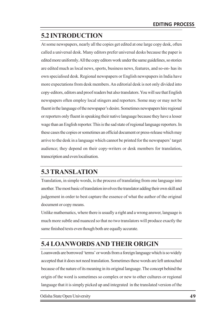# **5.2 INTRODUCTION**

At some newspapers, nearly all the copies get edited at one large copy desk, often called a universal desk. Many editors prefer universal desks because the paper is edited more uniformly. All the copy editors work under the same guidelines, so stories are edited much as local news, sports, business news, features, and so-on- has its own specialised desk. Regional newspapers or English newspapers in India have more expectations from desk members. An editorial desk is not only divided into copy-editors, editors and proof readers but also translators. You will see that English newspapers often employ local stingers and reporters. Some may or may not be fluent in the language of the newspaper's desire. Sometimes newspapers hire regional or reporters only fluent in speaking their native language because they have a lesser wage than an English reporter. This is the sad state of regional language reporters. In these cases the copies or sometimes an official document or press-release which may arrive to the desk in a language which cannot be printed for the newspapers' target audience; they depend on their copy-writers or desk members for translation, transcription and even localisation.

# **5.3 TRANSLATION**

Translation, in simple words, is the process of translating from one language into another. The most basic of translation involves the translator adding their own skill and judgement in order to best capture the essence of what the author of the original document or copy means.

Unlike mathematics, where there is usually a right and a wrong answer, language is much more subtle and nuanced so that no two translators will produce exactly the same finished texts even though both are equally accurate.

# **5.4 LOANWORDS AND THEIR ORIGIN**

Loanwords are borrowed 'terms' or words from a foreign language which is so widely accepted that it does not need translation. Sometimes these words are left untouched because of the nature of its meaning in its original language. The concept behind the origin of the word is sometimes so complex or new to other cultures or regional language that it is simply picked up and integrated in the translated version of the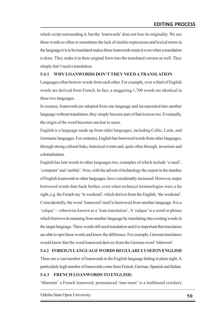whole script surrounding it, but the 'loanwords' does not lose its originality. We use these words so often or sometimes the lack of similar expressions and lexical terms in the language it is to be translated makes these loanwords retain it even when a translation is done. They make it in their original form into the translated version as well. They simply don't need a translation.

#### **5.4.1 WHY LOANWORDS DON'TTHEY NEED A TRANSLATION**

Languages often borrow words from each other. For example, over a third of English words are derived from French. In fact, a staggering 1,700 words are identical in these two languages.

In essence, loanwords are adopted from one language and incorporated into another language without translation; they simply become part of that lexicon too. Eventually, the origin of the word becomes unclear to users.

English is a language made up from older languages, including Celtic, Latin, and Germanic languages. For centuries, English has borrowed words from other languages, through strong cultural links, historical events and, quite often through, invasions and colonialisation.

English has lent words to other languages too, examples of which include 'e-mail', 'computer' and 'mobile'. Now, with the advent of technology the export in the number of English loanwords to other languages, have considerably increased. However, major borrowed words date back further, even when technical terminologies were a far sight, e.g. the French say 'le weekend', which derives from the English; 'the weekend'. Coincidentally, the word 'loanword' itself is borrowed from another language. It is a 'calque'—otherwise known as a 'loan translation'. A 'calque' is a word or phrase which borrows its meaning from another language by translating into existing words in the target language. These words still need translation and it is important that translators are able to spot these words and know the difference. For example, German translators would know that the word loanword derives from the German word 'lehnwort'.

#### **5.4.2 FOREIGN LANGUAGE WORDS REGULARLY USED IN ENGLISH**

There are a vast number of loanwords in the English language hiding in plain sight. A particularly high number of loanwords come from French, German, Spanish and Italian.

#### **5.4.3 FRENCH LOANWORDS TO ENGLISH:**

'Marmite' a French loanword, pronounced 'mar-meet' is a traditional crockery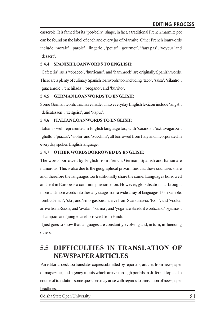casserole. It is famed for its "pot-belly" shape, in fact, a traditional French marmite pot can be found on the label of each and every jar of Marmite. Other French loanwords include 'morale', 'parole', 'lingerie', 'petite', 'gourmet', 'faux pas', 'voyeur' and 'dessert'.

#### **5.4.4 SPANISH LOANWORDS TO ENGLISH:**

'Cafeteria', as is 'tobacco', 'hurricane', and 'hammock' are originally Spanish words. There are a plenty of culinary Spanish loanwords too, including 'taco', 'salsa', 'cilantro', 'guacamole', 'enchilada', 'oregano', and 'burrito'.

#### **5.4.5 GERMAN LOANWORDS TO ENGLISH:**

Some German words that have made it into everyday English lexicon include 'angst', 'delicatessen', 'zeitgeist', and 'kaput'.

#### **5.4.6 ITALIAN LOANWORDS TO ENGLISH:**

Italian is well represented in English language too, with 'casinos', 'extravaganza', 'ghetto', 'piazza', 'violin' and 'zucchini', all borrowed from Italy and incorporated in everyday spoken English language.

#### **5.4.7 OTHER WORDS BORROWED BY ENGLISH:**

The words borrowed by English from French, German, Spanish and Italian are numerous. This is also due to the geographical proximities that these countries share and, therefore the languages too traditionally share the same. Languages borrowed and lent in Europe is a common phenomenon. However, globalisation has brought more and more words into the daily usage from a wide array of languages. For example, 'ombudsman', 'ski', and 'smorgasbord' arrive from Scandinavia. 'Icon', and 'vodka' arrive from Russia, and 'avatar', 'karma', and 'yoga' are Sanskrit words, and 'pyjamas', 'shampoo' and 'jungle' are borrowed from Hindi.

It just goes to show that languages are constantly evolving and, in turn, influencing others.

# **5.5 DIFFICULTIES IN TRANSLATION OF NEWSPAPER ARTICLES**

An editorial desk too translates copies submitted by reporters, articles from newspaper or magazine, and agency inputs which arrive through portals in different topics. In course of translation some questions may arise with regards to translation of newspaper headlines.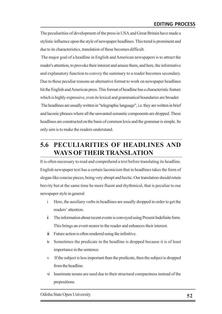The peculiarities of development of the press in USA and Great Britain have made a stylistic influence upon the style of newspaper headlines. This trend is prominent and due to its characteristics, translation of these becomes difficult.

The major goal of a headline in English and American newspapers is to attract the reader's attention, to provoke their interest and amaze them, and here, the informative and explanatory function to convey the summary to a reader becomes secondary. Due to these peculiar reasons an alternative format to work on newspaper headlines hit the English and American press. This format of headline has a characteristic feature which is highly expressive, even its lexical and grammatical boundaries are broader.

 The headlines are usually written in "telegraphic language", i.e. they are written in brief and laconic phrases where all the unwanted semantic components are dropped. These headlines are constructed on the basis of common lexis and the grammar is simple. Its only aim is to make the readers understand.

## **5.6 PECULIARITIES OF HEADLINES AND WAYS OFTHEIR TRANSLATION**

It is often necessary to read and comprehend a text before translating its headline. English newspaper text has a certain laconicism that in headlines takes the form of slogan-like concise pieces, being very abrupt and hectic. Our translation should retain brevity but at the same time be more fluent and rhythmical, that is peculiar to our newspaper style in general

- i Here, the auxiliary verbs in headlines are usually dropped in order to get the readers' attention.
- ii The information about recent events is conveyed using Present Indefinite form. This brings an event nearer to the reader and enhances their interest.
- iii Future action is often rendered using the infinitive.
- iv Sometimes the predicate in the headline is dropped because it is of least importance in the sentence.
- v If the subject is less important than the predicate, then the subject is dropped from the headline.
- vi Inanimate nouns are used due to their structural compactness instead of the prepositions.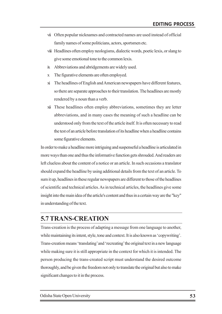- vii Often popular nicknames and contracted names are used instead of official family names of some politicians, actors, sportsmen etc.
- viii Headlines often employ neologisms, dialectic words, poetic lexis, or slang to give some emotional tone to the common lexis.
- ix Abbreviations and abridgements are widely used.
- x The figurative elements are often employed.
- xi The headlines of English and American newspapers have different features, so there are separate approaches to their translation. The headlines are mostly rendered by a noun than a verb.
- xii These headlines often employ abbreviations, sometimes they are letter abbreviations, and in many cases the meaning of such a headline can be understood only from the text of the article itself. It is often necessary to read the test of an article before translation of its headline when a headline contains some figurative elements.

In order to make a headline more intriguing and suspenseful a headline is articulated in more ways than one and thus the informative function gets shrouded. And readers are left clueless about the content of a notice or an article. In such occasions a translator should expand the headline by using additional details from the text of an article. To sum it up, headlines in these regular newspapers are different to those of the headlines of scientific and technical articles. As in technical articles, the headlines give some insight into the main idea of the article's content and thus in a certain way are the "key" in understanding of the text.

# **5.7 TRANS-CREATION**

Trans-creation is the process of adapting a message from one language to another, while maintaining its intent, style, tone and context. It is also known as 'copywriting'. Trans-creation means 'translating' and 'recreating' the original text in a new language while making sure it is still appropriate in the context for which it is intended. The person producing the trans-created script must understand the desired outcome thoroughly, and be given the freedom not only to translate the original but also to make significant changes to it in the process.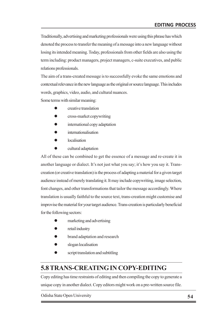Traditionally, advertising and marketing professionals were using this phrase has which denoted the process to transfer the meaning of a message into a new language without losing its intended meaning. Today, professionals from other fields are also using the term including: product managers, project managers, c-suite executives, and public relations professionals.

The aim of a trans-created message is to successfully evoke the same emotions and contextual relevance in the new language as the original or source language. This includes words, graphics, video, audio, and cultural nuances.

Some terms with similar meaning:

- $\bullet$  creative translation
- l cross-market copywriting
- international copy adaptation
- internationalisation
- localisation
- cultural adaptation

All of these can be combined to get the essence of a message and re-create it in another language or dialect. It's not just what you say; it's how you say it. Transcreation (or creative translation) is the process of adapting a material for a given target audience instead of merely translating it. It may include copywriting, image selection, font changes, and other transformations that tailor the message accordingly. Where translation is usually faithful to the source text, trans-creation might customise and improvise the material for your target audience. Trans-creation is particularly beneficial for the following sectors:

- marketing and advertising
- retail industry
- brand adaptation and research
- slogan localisation
- script translation and subtitling

### **5.8 TRANS-CREATING IN COPY-EDITING**

Copy editing has time restraints of editing and then compiling the copy to generate a unique copy in another dialect. Copy editors might work on a pre-written source file.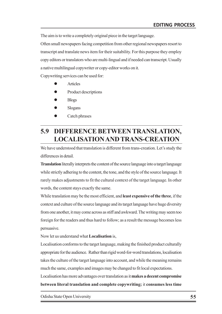The aim is to write a completely original piece in the target language.

Often small newspapers facing competition from other regional newspapers resort to transcript and translate news item for their suitability. For this purpose they employ copy editors or translators who are multi-lingual and if needed can transcript. Usually a native multilingual copywriter or copy-editor works on it.

Copywriting services can be used for:

- **Articles**
- Product descriptions
- l Blogs
- **Slogans**
- Catch phrases

# **5.9 DIFFERENCE BETWEEN TRANSLATION, LOCALISATION AND TRANS-CREATION**

We have understood that translation is different from trans-creation. Let's study the differences in detail.

**Translation** literally interprets the content of the source language into a target language while strictly adhering to the content, the tone, and the style of the source language. It rarely makes adjustments to fit the cultural context of the target language. In other words, the content stays exactly the same.

While translation may be the most efficient, and **least expensive of the three**, if the context and culture of the source language and its target language have huge diversity from one another, it may come across as stiff and awkward. The writing may seem too foreign for the readers and thus hard to follow; as a result the message becomes less persuasive.

Now let us understand what **Localisation** is,

Localisation conforms to the target language, making the finished product culturally appropriate for the audience. Rather than rigid word-for-word translations, localisation takes the culture of the target language into account, and while the meaning remains much the same, examples and images may be changed to fit local expectations.

Localisation has more advantages over translation as it **makes a decent compromise between literal translation and complete copywriting;** it **consumes less time**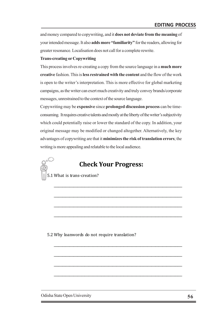and money compared to copywriting, and it **does not deviate from the meaning** of your intended message. It also **adds more "familiarity"** for the readers, allowing for greater resonance. Localisation does not call for a complete rewrite.

#### **Trans-creating or Copywriting**

This process involves re-creating a copy from the source language in a **much more creative** fashion. This is **less restrained with the content** and the flow of the work is open to the writer's interpretation. This is more effective for global marketing campaigns, as the writer can exert much creativity and truly convey brands/corporate messages, unrestrained to the context of the source language.

Copywriting may be **expensive** since **prolonged discussion process** can be timeconsuming. It requires creative talents and mostly at the liberty of the writer's subjectivity which could potentially raise or lower the standard of the copy. In addition, your original message may be modified or changed altogether. Alternatively, the key advantages of copywriting are that it **minimizes the risk of translation errors**; the writing is more appealing and relatable to the local audience.

### **Check Your Progress:**

\_\_\_\_\_\_\_\_\_\_\_\_\_\_\_\_\_\_\_\_\_\_\_\_\_\_\_\_\_\_\_\_\_\_\_\_\_\_\_\_\_\_\_\_\_\_\_\_\_\_\_\_\_\_\_\_\_\_\_\_\_\_\_\_\_\_\_\_\_\_\_\_\_\_\_\_\_\_\_\_\_\_\_\_\_\_\_\_\_\_\_\_

\_\_\_\_\_\_\_\_\_\_\_\_\_\_\_\_\_\_\_\_\_\_\_\_\_\_\_\_\_\_\_\_\_\_\_\_\_\_\_\_\_\_\_\_\_\_\_\_\_\_\_\_\_\_\_\_\_\_\_\_\_\_\_\_\_\_\_\_\_\_\_\_\_\_\_\_\_\_\_\_\_\_\_\_\_\_\_\_\_\_\_\_

\_\_\_\_\_\_\_\_\_\_\_\_\_\_\_\_\_\_\_\_\_\_\_\_\_\_\_\_\_\_\_\_\_\_\_\_\_\_\_\_\_\_\_\_\_\_\_\_\_\_\_\_\_\_\_\_\_\_\_\_\_\_\_\_\_\_\_\_\_\_\_\_\_\_\_\_\_\_\_\_\_\_\_\_\_\_\_\_\_\_\_\_

\_\_\_\_\_\_\_\_\_\_\_\_\_\_\_\_\_\_\_\_\_\_\_\_\_\_\_\_\_\_\_\_\_\_\_\_\_\_\_\_\_\_\_\_\_\_\_\_\_\_\_\_\_\_\_\_\_\_\_\_\_\_\_\_\_\_\_\_\_\_\_\_\_\_\_\_\_\_\_\_\_\_\_\_\_\_\_\_\_\_\_\_

\_\_\_\_\_\_\_\_\_\_\_\_\_\_\_\_\_\_\_\_\_\_\_\_\_\_\_\_\_\_\_\_\_\_\_\_\_\_\_\_\_\_\_\_\_\_\_\_\_\_\_\_\_\_\_\_\_\_\_\_\_\_\_\_\_\_\_\_\_\_\_\_\_\_\_\_\_\_\_\_\_\_\_\_\_\_\_\_\_\_\_\_

\_\_\_\_\_\_\_\_\_\_\_\_\_\_\_\_\_\_\_\_\_\_\_\_\_\_\_\_\_\_\_\_\_\_\_\_\_\_\_\_\_\_\_\_\_\_\_\_\_\_\_\_\_\_\_\_\_\_\_\_\_\_\_\_\_\_\_\_\_\_\_\_\_\_\_\_\_\_\_\_\_\_\_\_\_\_\_\_\_\_\_\_

\_\_\_\_\_\_\_\_\_\_\_\_\_\_\_\_\_\_\_\_\_\_\_\_\_\_\_\_\_\_\_\_\_\_\_\_\_\_\_\_\_\_\_\_\_\_\_\_\_\_\_\_\_\_\_\_\_\_\_\_\_\_\_\_\_\_\_\_\_\_\_\_\_\_\_\_\_\_\_\_\_\_\_\_\_\_\_\_\_\_\_\_

\_\_\_\_\_\_\_\_\_\_\_\_\_\_\_\_\_\_\_\_\_\_\_\_\_\_\_\_\_\_\_\_\_\_\_\_\_\_\_\_\_\_\_\_\_\_\_\_\_\_\_\_\_\_\_\_\_\_\_\_\_\_\_\_\_\_\_\_\_\_\_\_\_\_\_\_\_\_\_\_\_\_\_\_\_\_\_\_\_\_\_\_

5.1 What is trans-creation?

5.2 Why loanwords do not require translation?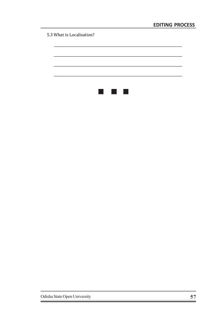5.3 What is Localisation?

**Talent** 

i i s

Ξ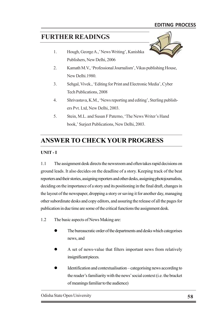#### **EDITING PROCESS**

### **FURTHER READINGS**

- 1. Hough, George A.,' News Writing', Kanishka Publishers, New Delhi, 2006
- 2. Kamath M.V., 'Professional Journalism', Vikas publishing House, New Delhi.1980.
- 3. Sehgal, Vivek., 'Editing for Print and Electronic Media', Cyber Tech Publications, 2008
- 4. Shrivastava, K.M., 'News reporting and editing', Sterling publishers Pvt. Ltd, New Delhi, 2003.
- 5. Stein, M.L. and Susan F Paterno, 'The News Writer's Hand book,' Surjeet Publications, New Delhi, 2003.

### **ANSWER TO CHECK YOUR PROGRESS**

#### **UNIT - I**

1.1 The assignment desk directs the newsroom and often takes rapid decisions on ground leads. It also decides on the deadline of a story. Keeping track of the beat reporters and their stories, assigning reporters and other desks, assigning photojournalists, deciding on the importance of a story and its positioning in the final draft, changes in the layout of the newspaper, dropping a story or saving it for another day, managing other subordinate desks and copy editors, and assuring the release of all the pages for publication in due time are some of the critical functions the assignment desk.

- 1.2 The basic aspects of News Making are:
	- The bureaucratic order of the departments and desks which categorises news, and
	- l A set of news-value that filters important news from relatively insignificant pieces.
	- l Identification and contextualisation categorising news according to the reader's familiarity with the news' social context (i.e. the bracket of meanings familiar to the audience)

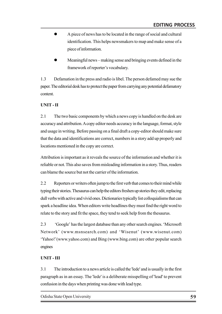- l A piece of news has to be located in the range of social and cultural identification. This helps newsmakers to map and make sense of a piece of information.
- l Meaningful news making sense and bringing events defined in the framework of reporter's vocabulary.

1.3 Defamation in the press and radio is libel. The person defamed may sue the paper. The editorial desk has to protect the paper from carrying any potential defamatory content.

#### **UNIT - II**

2.1 The two basic components by which a news copy is handled on the desk are accuracy and attribution. A copy editor needs accuracy in the language, format, style and usage in writing. Before passing on a final draft a copy-editor should make sure that the data and identifications are correct, numbers in a story add up properly and locations mentioned in the copy are correct.

Attribution is important as it reveals the source of the information and whether it is reliable or not. This also saves from misleading information in a story. Thus, readers can blame the source but not the carrier of the information.

2.2 Reporters or writers often jump to the first verb that comes to their mind while typing their stories. Thesaurus can help the editors freshen up stories they edit, replacing dull verbs with active and vivid ones. Dictionaries typically list colloquialisms that can spark a headline idea. When editors write headlines they must find the right word to relate to the story and fit the space, they tend to seek help from the thesaurus.

2.3 'Google' has the largest database than any other search engines. 'Microsoft Network' (www.msnsearch.com) and 'Wisenut' (www.wisenut.com) 'Yahoo!'(www.yahoo.com) and Bing (www.bing.com) are other popular search engines

#### **UNIT - III**

3.1 The introduction to a news article is called the 'lede' and is usually in the first paragraph as in an essay. The 'lede' is a deliberate misspelling of 'lead' to prevent confusion in the days when printing was done with lead type.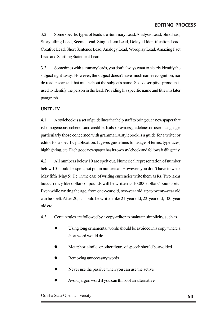3.2 Some specific types of leads are Summary Lead, Analysis Lead, blind lead, Storytelling Lead, Scenic Lead, Single-Item Lead, Delayed Identification Lead, Creative Lead, Short Sentence Lead, Analogy Lead, Wordplay Lead, Amazing Fact Lead and Startling Statement Lead.

3.3 Sometimes with summary leads, you don't always want to clearly identify the subject right away. However, the subject doesn't have much name recognition, nor do readers care all that much about the subject's name. So a descriptive pronoun is used to identify the person in the lead. Providing his specific name and title in a later paragraph.

#### **UNIT - IV**

4.1 A stylebook is a set of guidelines that help staff to bring out a newspaper that is homogeneous, coherent and credible. It also provides guidelines on use of language, particularly those concerned with grammar. A stylebook is a guide for a writer or editor for a specific publication. It gives guidelines for usage of terms, typefaces, highlighting, etc. Each good newspaper has its own stylebook and follows it diligently.

4.2 All numbers below 10 are spelt out. Numerical representation of number below 10 should be spelt, not put in numerical. However, you don't have to write May fifth (May 5). I.e. in the case of writing currencies write them as Rs. Two lakhs but currency like dollars or pounds will be written as 10,000 dollars/ pounds etc. Even while writing the age, from one-year old, two-year old, up to twenty-year old can be spelt. After 20, it should be written like 21-year old, 22-year old, 100-year old etc.

- 4.3 Certain rules are followed by a copy-editor to maintain simplicity, such as
	- l Using long ornamental words should be avoided in a copy where a short word would do.
	- l Metaphor, simile, or other figure of speech should be avoided
	- Removing unnecessary words
	- l Never use the passive when you can use the active
	- l Avoid jargon word if you can think of an alternative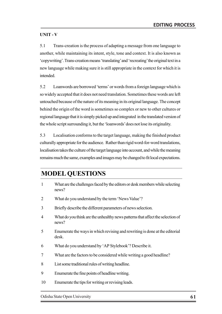#### **UNIT - V**

5.1 Trans-creation is the process of adapting a message from one language to another, while maintaining its intent, style, tone and context. It is also known as 'copywriting'. Trans-creation means 'translating' and 'recreating' the original text in a new language while making sure it is still appropriate in the context for which it is intended.

5.2 Loanwords are borrowed 'terms' or words from a foreign language which is so widely accepted that it does not need translation. Sometimes these words are left untouched because of the nature of its meaning in its original language. The concept behind the origin of the word is sometimes so complex or new to other cultures or regional language that it is simply picked up and integrated in the translated version of the whole script surrounding it, but the 'loanwords' does not lose its originality.

5.3 Localisation conforms to the target language, making the finished product culturally appropriate for the audience. Rather than rigid word-for-word translations, localisation takes the culture of the target language into account, and while the meaning remains much the same, examples and images may be changed to fit local expectations.

### **MODEL QUESTIONS**

| $\mathbf{1}$   | What are the challenges faced by the editors or desk members while selecting<br>news?   |
|----------------|-----------------------------------------------------------------------------------------|
| $\overline{2}$ | What do you understand by the term 'News Value'?                                        |
| 3              | Briefly describe the different parameters of news selection.                            |
| $\overline{4}$ | What do you think are the unhealthy news patterns that affect the selection of<br>news? |
| 5              | Enumerate the ways in which revising and rewriting is done at the editorial<br>desk.    |
| 6              | What do you understand by 'AP Stylebook'? Describe it.                                  |
| $\overline{7}$ | What are the factors to be considered while writing a good headline?                    |
| 8              | List some traditional rules of writing headline.                                        |
| 9              | Enumerate the fine points of headline writing.                                          |
| 10             | Enumerate the tips for writing or revising leads.                                       |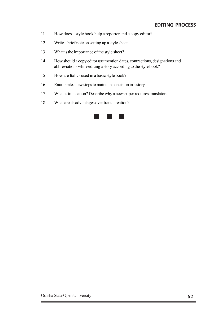- How does a style book help a reporter and a copy editor?
- Write a brief note on setting up a style sheet.
- What is the importance of the style sheet?
- How should a copy editor use mention dates, contractions, designations and abbreviations while editing a story according to the style book?
- How are Italics used in a basic style book?
- Enumerate a few steps to maintain concision in a story.
- What is translation? Describe why a newspaper requires translators.
- What are its advantages over trans-creation?

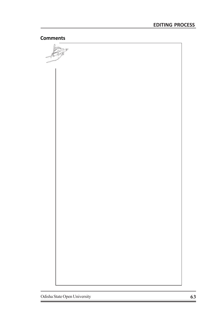### **Comments**

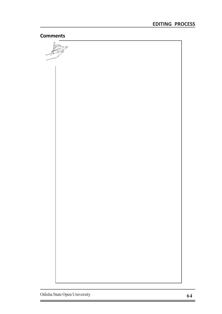### **Comments**

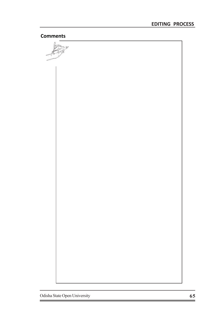### **Comments**